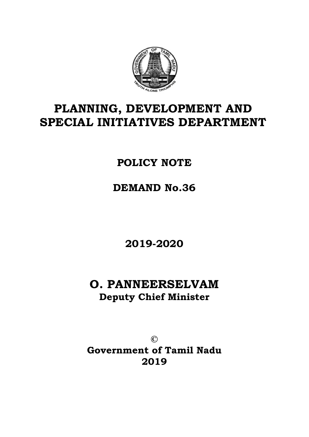

# **PLANNING, DEVELOPMENT AND SPECIAL INITIATIVES DEPARTMENT**

## **POLICY NOTE**

**DEMAND No.36** 

**2019-2020** 

# **O. PANNEERSELVAM Deputy Chief Minister**

**© Government of Tamil Nadu 2019**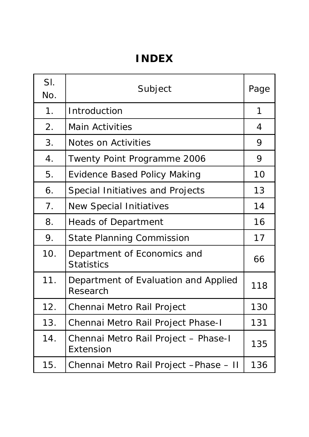# **INDEX**

| SI.<br>No.       | Subject                                           |     |
|------------------|---------------------------------------------------|-----|
| 1 <sub>1</sub>   | Introduction                                      | 1   |
| 2.               | <b>Main Activities</b>                            | 4   |
| 3.               | Notes on Activities                               | 9   |
| $\overline{4}$ . | Twenty Point Programme 2006                       |     |
| 5.               | <b>Evidence Based Policy Making</b>               | 10  |
| 6.               | Special Initiatives and Projects                  | 13  |
| 7.               | <b>New Special Initiatives</b>                    | 14  |
| 8.               | <b>Heads of Department</b>                        | 16  |
| 9.               | <b>State Planning Commission</b>                  | 17  |
| 10.              | Department of Economics and<br><b>Statistics</b>  | 66  |
| 11.              | Department of Evaluation and Applied<br>Research  | 118 |
| 12.              | Chennai Metro Rail Project                        | 130 |
| 13.              | Chennai Metro Rail Project Phase-I                | 131 |
| 14.              | Chennai Metro Rail Project - Phase-I<br>Extension | 135 |
| 15.              | Chennai Metro Rail Project - Phase - II           | 136 |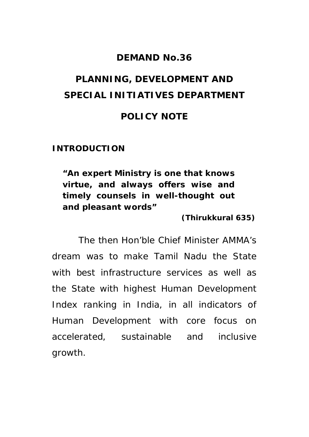### **DEMAND No.36**

# **PLANNING, DEVELOPMENT AND SPECIAL INITIATIVES DEPARTMENT POLICY NOTE**

**INTRODUCTION** 

**"An expert Ministry is one that knows virtue, and always offers wise and timely counsels in well-thought out and pleasant words"** 

 **(Thirukkural 635)** 

The then Hon'ble Chief Minister AMMA's dream was to make Tamil Nadu the State with best infrastructure services as well as the State with highest Human Development Index ranking in India, in all indicators of Human Development with core focus on accelerated, sustainable and inclusive growth.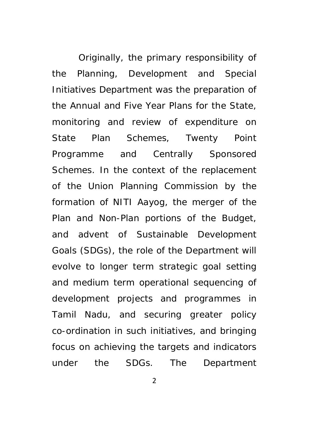Originally, the primary responsibility of the Planning, Development and Special Initiatives Department was the preparation of the Annual and Five Year Plans for the State, monitoring and review of expenditure on State Plan Schemes, Twenty Point Programme and Centrally Sponsored Schemes. In the context of the replacement of the Union Planning Commission by the formation of NITI Aayog, the merger of the Plan and Non-Plan portions of the Budget, and advent of Sustainable Development Goals (SDGs), the role of the Department will evolve to longer term strategic goal setting and medium term operational sequencing of development projects and programmes in Tamil Nadu, and securing greater policy co-ordination in such initiatives, and bringing focus on achieving the targets and indicators under the SDGs. The Department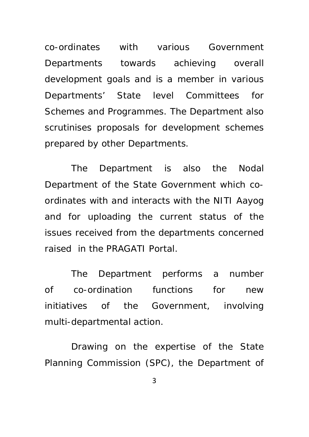co-ordinates with various Government Departments towards achieving overall development goals and is a member in various Departments' State level Committees for Schemes and Programmes. The Department also scrutinises proposals for development schemes prepared by other Departments.

The Department is also the Nodal Department of the State Government which coordinates with and interacts with the NITI Aayog and for uploading the current status of the issues received from the departments concerned raised in the PRAGATI Portal.

The Department performs a number of co-ordination functions for new initiatives of the Government, involving multi-departmental action.

Drawing on the expertise of the State Planning Commission (SPC), the Department of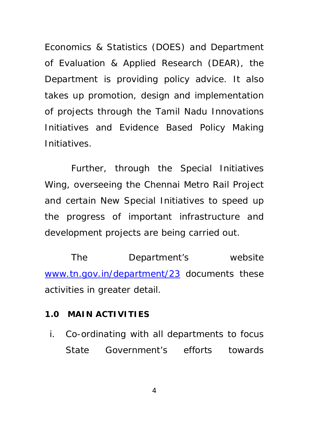Economics & Statistics (DOES) and Department of Evaluation & Applied Research (DEAR), the Department is providing policy advice. It also takes up promotion, design and implementation of projects through the Tamil Nadu Innovations Initiatives and Evidence Based Policy Making Initiatives.

Further, through the Special Initiatives Wing, overseeing the Chennai Metro Rail Project and certain New Special Initiatives to speed up the progress of important infrastructure and development projects are being carried out.

The Department's website www.tn.gov.in/department/23 documents these activities in greater detail.

#### **1.0 MAIN ACTIVITIES**

i. Co-ordinating with all departments to focus State Government's efforts towards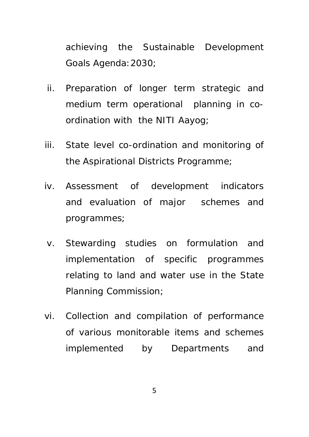achieving the Sustainable Development Goals Agenda:2030;

- ii. Preparation of longer term strategic and medium term operational planning in coordination with the NITI Aayog;
- iii. State level co-ordination and monitoring of the Aspirational Districts Programme;
- iv. Assessment of development indicators and evaluation of major schemes and programmes;
- v. Stewarding studies on formulation and implementation of specific programmes relating to land and water use in the State Planning Commission;
- vi. Collection and compilation of performance of various monitorable items and schemes implemented by Departments and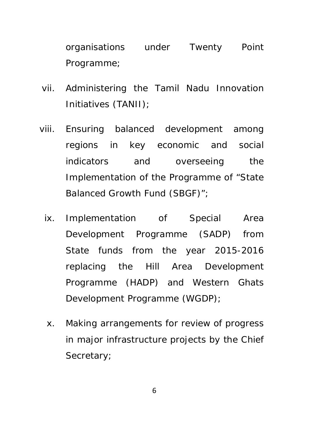organisations under Twenty Point Programme;

- vii. Administering the Tamil Nadu Innovation Initiatives (TANII);
- viii. Ensuring balanced development among regions in key economic and social indicators and overseeing the Implementation of the Programme of "State Balanced Growth Fund (SBGF)";
	- ix. Implementation of Special Area Development Programme (SADP) from State funds from the year 2015-2016 replacing the Hill Area Development Programme (HADP) and Western Ghats Development Programme (WGDP);
	- x. Making arrangements for review of progress in major infrastructure projects by the Chief Secretary;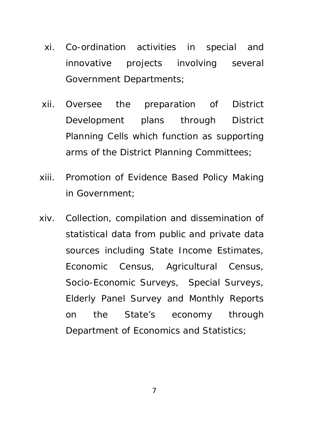- xi. Co-ordination activities in special and innovative projects involving several Government Departments;
- xii. Oversee the preparation of District Development plans through District Planning Cells which function as supporting arms of the District Planning Committees;
- xiii. Promotion of Evidence Based Policy Making in Government;
- xiv. Collection, compilation and dissemination of statistical data from public and private data sources including State Income Estimates, Economic Census, Agricultural Census, Socio-Economic Surveys, Special Surveys, Elderly Panel Survey and Monthly Reports on the State's economy through Department of Economics and Statistics;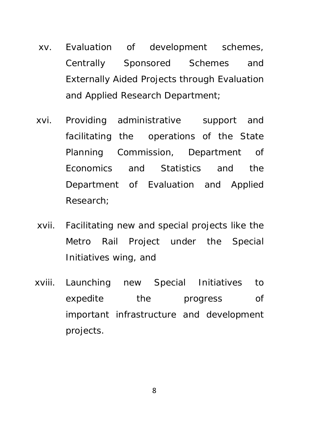- xv. Evaluation of development schemes, Centrally Sponsored Schemes and Externally Aided Projects through Evaluation and Applied Research Department;
- xvi. Providing administrative support and facilitating the operations of the State Planning Commission, Department of Economics and Statistics and the Department of Evaluation and Applied Research;
- xvii. Facilitating new and special projects like the Metro Rail Project under the Special Initiatives wing, and
- xviii. Launching new Special Initiatives to expedite the progress of important infrastructure and development projects.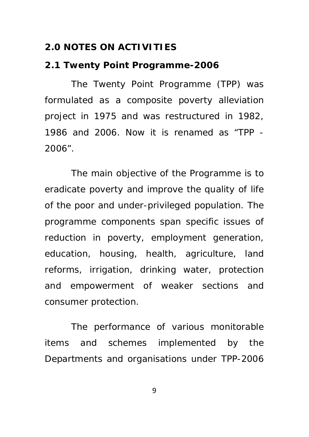### **2.0 NOTES ON ACTIVITIES**

#### **2.1 Twenty Point Programme-2006**

The Twenty Point Programme (TPP) was formulated as a composite poverty alleviation project in 1975 and was restructured in 1982, 1986 and 2006. Now it is renamed as "TPP - 2006".

The main objective of the Programme is to eradicate poverty and improve the quality of life of the poor and under-privileged population. The programme components span specific issues of reduction in poverty, employment generation, education, housing, health, agriculture, land reforms, irrigation, drinking water, protection and empowerment of weaker sections and consumer protection.

The performance of various monitorable items and schemes implemented by the Departments and organisations under TPP-2006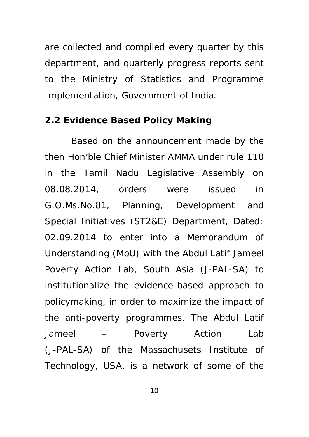are collected and compiled every quarter by this department, and quarterly progress reports sent to the Ministry of Statistics and Programme Implementation, Government of India.

#### **2.2 Evidence Based Policy Making**

Based on the announcement made by the then Hon'ble Chief Minister AMMA under rule 110 in the Tamil Nadu Legislative Assembly on 08.08.2014, orders were issued in G.O.Ms.No.81, Planning, Development and Special Initiatives (ST2&E) Department, Dated: 02.09.2014 to enter into a Memorandum of Understanding (MoU) with the Abdul Latif Jameel Poverty Action Lab, South Asia (J-PAL-SA) to institutionalize the evidence-based approach to policymaking, in order to maximize the impact of the anti-poverty programmes. The Abdul Latif Jameel – Poverty Action Lab (J-PAL-SA) of the Massachusets Institute of Technology, USA, is a network of some of the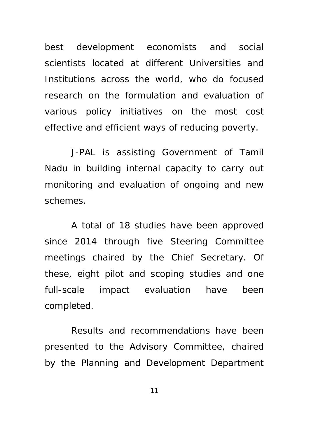best development economists and social scientists located at different Universities and Institutions across the world, who do focused research on the formulation and evaluation of various policy initiatives on the most cost effective and efficient ways of reducing poverty.

J-PAL is assisting Government of Tamil Nadu in building internal capacity to carry out monitoring and evaluation of ongoing and new schemes.

A total of 18 studies have been approved since 2014 through five Steering Committee meetings chaired by the Chief Secretary. Of these, eight pilot and scoping studies and one full-scale impact evaluation have been completed.

Results and recommendations have been presented to the Advisory Committee, chaired by the Planning and Development Department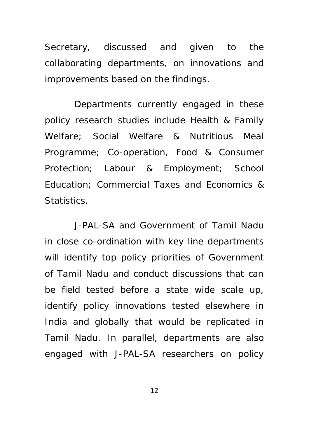Secretary, discussed and given to the collaborating departments, on innovations and improvements based on the findings.

 Departments currently engaged in these policy research studies include Health & Family Welfare; Social Welfare & Nutritious Meal Programme; Co-operation, Food & Consumer Protection; Labour & Employment; School Education; Commercial Taxes and Economics & Statistics.

 J-PAL-SA and Government of Tamil Nadu in close co-ordination with key line departments will identify top policy priorities of Government of Tamil Nadu and conduct discussions that can be field tested before a state wide scale up, identify policy innovations tested elsewhere in India and globally that would be replicated in Tamil Nadu. In parallel, departments are also engaged with J-PAL-SA researchers on policy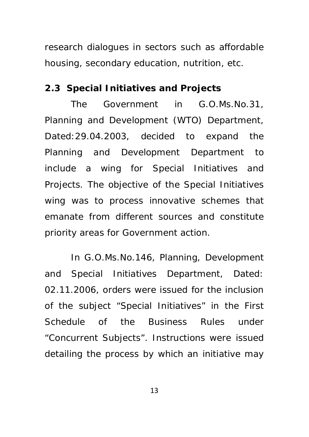research dialogues in sectors such as affordable housing, secondary education, nutrition, etc.

#### **2.3 Special Initiatives and Projects**

The Government in G.O.Ms.No.31, Planning and Development (WTO) Department, Dated:29.04.2003, decided to expand the Planning and Development Department to include a wing for Special Initiatives and Projects. The objective of the Special Initiatives wing was to process innovative schemes that emanate from different sources and constitute priority areas for Government action.

In G.O.Ms.No.146, Planning, Development and Special Initiatives Department, Dated: 02.11.2006, orders were issued for the inclusion of the subject "Special Initiatives" in the First Schedule of the Business Rules under "Concurrent Subjects". Instructions were issued detailing the process by which an initiative may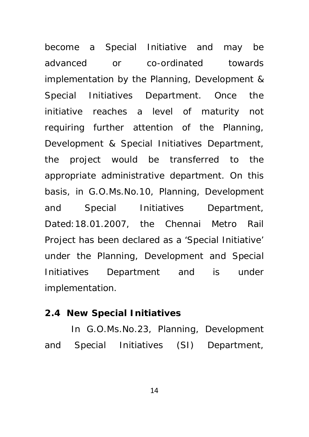become a Special Initiative and may be advanced or co-ordinated towards implementation by the Planning, Development & Special Initiatives Department. Once the initiative reaches a level of maturity not requiring further attention of the Planning, Development & Special Initiatives Department, the project would be transferred to the appropriate administrative department. On this basis, in G.O.Ms.No.10, Planning, Development and Special Initiatives Department, Dated:18.01.2007, the Chennai Metro Rail Project has been declared as a 'Special Initiative' under the Planning, Development and Special Initiatives Department and is under implementation.

#### **2.4 New Special Initiatives**

In G.O.Ms.No.23, Planning, Development and Special Initiatives (SI) Department,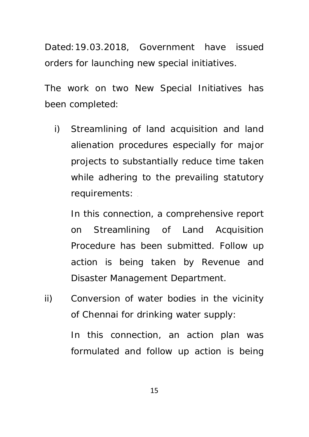Dated:19.03.2018, Government have issued orders for launching new special initiatives.

The work on two New Special Initiatives has been completed:

i) Streamlining of land acquisition and land alienation procedures especially for major projects to substantially reduce time taken while adhering to the prevailing statutory requirements:

In this connection, a comprehensive report on Streamlining of Land Acquisition Procedure has been submitted. Follow up action is being taken by Revenue and Disaster Management Department.

ii) Conversion of water bodies in the vicinity of Chennai for drinking water supply:

> In this connection, an action plan was formulated and follow up action is being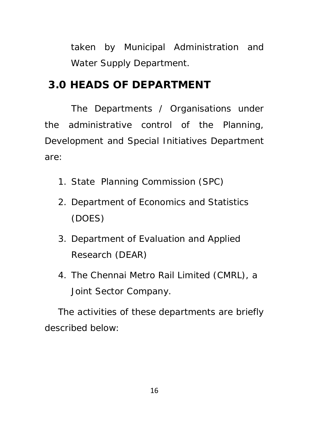taken by Municipal Administration and Water Supply Department.

## **3.0 HEADS OF DEPARTMENT**

The Departments / Organisations under the administrative control of the Planning, Development and Special Initiatives Department are:

- 1. State Planning Commission (SPC)
- 2. Department of Economics and Statistics (DOES)
- 3. Department of Evaluation and Applied Research (DEAR)
- 4. The Chennai Metro Rail Limited (CMRL), a Joint Sector Company.

The activities of these departments are briefly described below: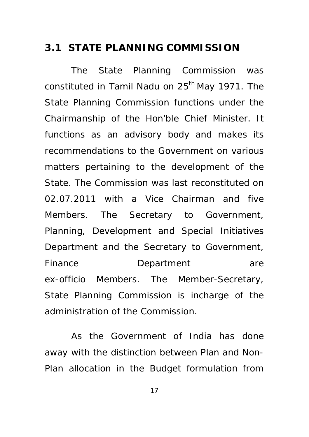## **3.1 STATE PLANNING COMMISSION**

The State Planning Commission was constituted in Tamil Nadu on  $25<sup>th</sup>$  May 1971. The State Planning Commission functions under the Chairmanship of the Hon'ble Chief Minister. It functions as an advisory body and makes its recommendations to the Government on various matters pertaining to the development of the State. The Commission was last reconstituted on 02.07.2011 with a Vice Chairman and five Members. The Secretary to Government, Planning, Development and Special Initiatives Department and the Secretary to Government, Finance **Department** are ex-officio Members. The Member-Secretary, State Planning Commission is incharge of the administration of the Commission.

As the Government of India has done away with the distinction between Plan and Non-Plan allocation in the Budget formulation from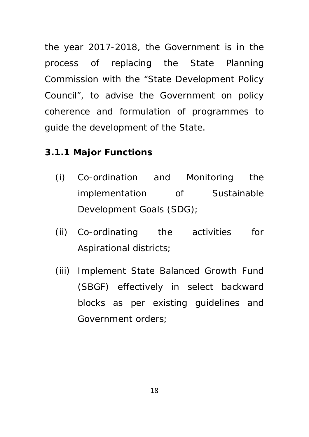the year 2017-2018, the Government is in the process of replacing the State Planning Commission with the "*State Development Policy Council",* to advise the Government on policy coherence and formulation of programmes to guide the development of the State.

## **3.1.1 Major Functions**

- (i) Co-ordination and Monitoring the implementation of Sustainable Development Goals (SDG);
- (ii) Co-ordinating the activities for Aspirational districts;
- (iii) Implement State Balanced Growth Fund (SBGF) effectively in select backward blocks as per existing guidelines and Government orders;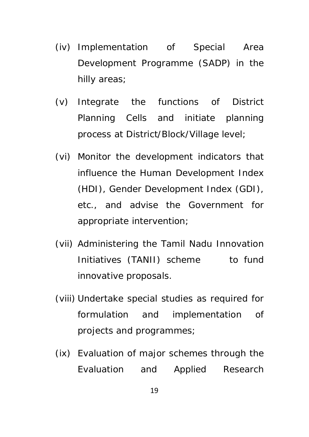- (iv) Implementation of Special Area Development Programme (SADP) in the hilly areas;
- (v) Integrate the functions of District Planning Cells and initiate planning process at District/Block/Village level;
- (vi) Monitor the development indicators that influence the Human Development Index (HDI), Gender Development Index (GDI), etc., and advise the Government for appropriate intervention;
- (vii) Administering the Tamil Nadu Innovation Initiatives (TANII) scheme to fund innovative proposals.
- (viii) Undertake special studies as required for formulation and implementation of projects and programmes;
- (ix) Evaluation of major schemes through the Evaluation and Applied Research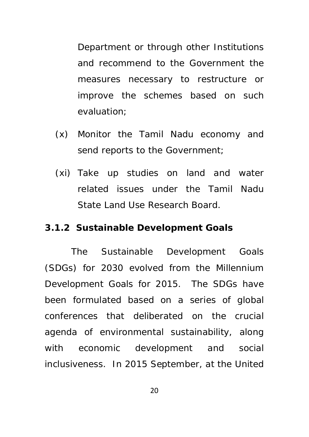Department or through other Institutions and recommend to the Government the measures necessary to restructure or improve the schemes based on such evaluation;

- (x) Monitor the Tamil Nadu economy and send reports to the Government;
- (xi) Take up studies on land and water related issues under the Tamil Nadu State Land Use Research Board.

### **3.1.2 Sustainable Development Goals**

The Sustainable Development Goals (SDGs) for 2030 evolved from the Millennium Development Goals for 2015. The SDGs have been formulated based on a series of global conferences that deliberated on the crucial agenda of environmental sustainability, along with economic development and social inclusiveness. In 2015 September, at the United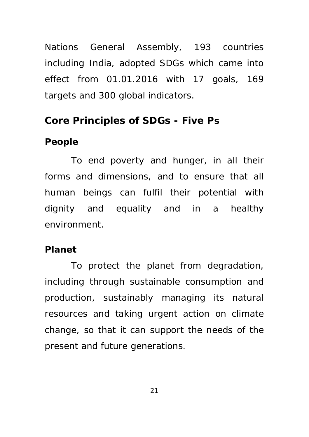Nations General Assembly, 193 countries including India, adopted SDGs which came into effect from 01.01.2016 with 17 goals, 169 targets and 300 global indicators.

## **Core Principles of SDGs - Five Ps**

## **People**

To end poverty and hunger, in all their forms and dimensions, and to ensure that all human beings can fulfil their potential with dignity and equality and in a healthy environment.

## **Planet**

To protect the planet from degradation, including through sustainable consumption and production, sustainably managing its natural resources and taking urgent action on climate change, so that it can support the needs of the present and future generations.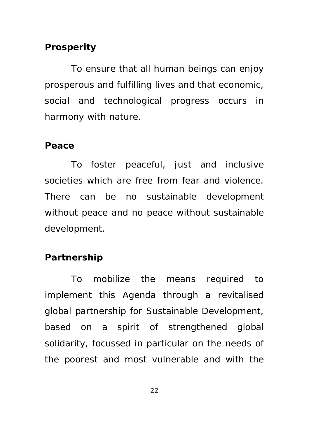## **Prosperity**

To ensure that all human beings can enjoy prosperous and fulfilling lives and that economic, social and technological progress occurs in harmony with nature.

#### **Peace**

To foster peaceful, just and inclusive societies which are free from fear and violence. There can be no sustainable development without peace and no peace without sustainable development.

## **Partnership**

To mobilize the means required to implement this Agenda through a revitalised global partnership for Sustainable Development, based on a spirit of strengthened global solidarity, focussed in particular on the needs of the poorest and most vulnerable and with the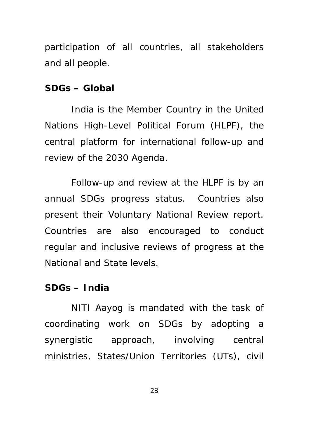participation of all countries, all stakeholders and all people.

#### **SDGs – Global**

India is the Member Country in the United Nations High-Level Political Forum (HLPF), the central platform for international follow-up and review of the 2030 Agenda.

Follow-up and review at the HLPF is by an annual SDGs progress status. Countries also present their Voluntary National Review report. Countries are also encouraged to conduct regular and inclusive reviews of progress at the National and State levels.

#### **SDGs – India**

NITI Aayog is mandated with the task of coordinating work on SDGs by adopting a synergistic approach, involving central ministries, States/Union Territories (UTs), civil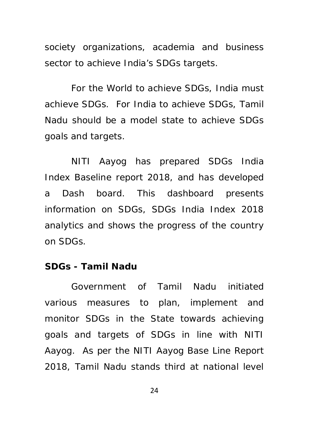society organizations, academia and business sector to achieve India's SDGs targets.

For the World to achieve SDGs, India must achieve SDGs. For India to achieve SDGs, Tamil Nadu should be a model state to achieve SDGs goals and targets.

NITI Aayog has prepared SDGs India Index Baseline report 2018, and has developed a Dash board. This dashboard presents information on SDGs, SDGs India Index 2018 analytics and shows the progress of the country on SDGs.

### **SDGs - Tamil Nadu**

Government of Tamil Nadu initiated various measures to plan, implement and monitor SDGs in the State towards achieving goals and targets of SDGs in line with NITI Aayog. As per the NITI Aayog Base Line Report 2018, Tamil Nadu stands third at national level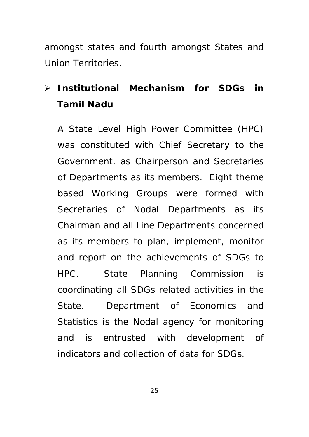amongst states and fourth amongst States and Union Territories.

# **Institutional Mechanism for SDGs in Tamil Nadu**

A State Level High Power Committee (HPC) was constituted with Chief Secretary to the Government, as Chairperson and Secretaries of Departments as its members. Eight theme based Working Groups were formed with Secretaries of Nodal Departments as its Chairman and all Line Departments concerned as its members to plan, implement, monitor and report on the achievements of SDGs to HPC. State Planning Commission is coordinating all SDGs related activities in the State. Department of Economics and Statistics is the Nodal agency for monitoring and is entrusted with development of indicators and collection of data for SDGs.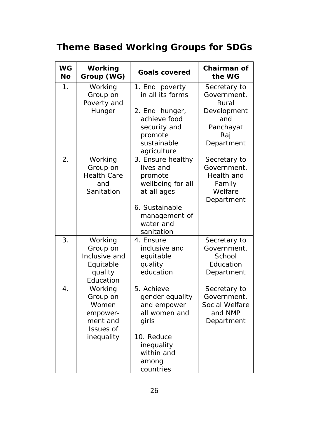# **Theme Based Working Groups for SDGs**

| <b>WG</b><br><b>No</b> | Working<br>Group (WG)                                                           | <b>Goals covered</b>                                                                                                                        | Chairman of<br>the WG                                                                        |
|------------------------|---------------------------------------------------------------------------------|---------------------------------------------------------------------------------------------------------------------------------------------|----------------------------------------------------------------------------------------------|
| $\mathbf 1$ .          | Working<br>Group on<br>Poverty and<br>Hunger                                    | 1. End poverty<br>in all its forms<br>2. End hunger,<br>achieve food<br>security and<br>promote<br>sustainable<br>agriculture               | Secretary to<br>Government,<br>Rural<br>Development<br>and<br>Panchayat<br>Rai<br>Department |
| 2.                     | Working<br>Group on<br><b>Health Care</b><br>and<br>Sanitation                  | 3. Ensure healthy<br>lives and<br>promote<br>wellbeing for all<br>at all ages<br>6. Sustainable<br>management of<br>water and<br>sanitation | Secretary to<br>Government,<br>Health and<br>Family<br>Welfare<br>Department                 |
| 3.                     | Working<br>Group on<br>Inclusive and<br>Equitable<br>quality<br>Education       | 4. Ensure<br>inclusive and<br>equitable<br>quality<br>education                                                                             | Secretary to<br>Government,<br>School<br>Education<br>Department                             |
| 4.                     | Working<br>Group on<br>Women<br>empower-<br>ment and<br>Issues of<br>inequality | 5. Achieve<br>gender equality<br>and empower<br>all women and<br>girls<br>10. Reduce<br>inequality<br>within and<br>among<br>countries      | Secretary to<br>Government,<br>Social Welfare<br>and NMP<br>Department                       |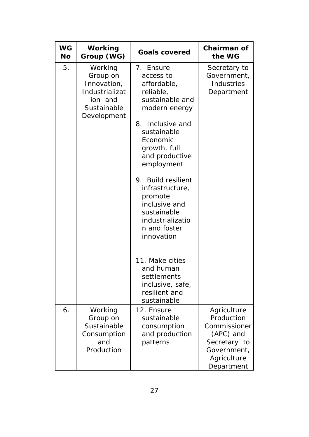| <b>WG</b><br>No | Working<br>Group (WG)                                                                         | <b>Goals covered</b>                                                                                                                                                                                                                                                                                                                        | Chairman of<br>the WG                                                                                              |
|-----------------|-----------------------------------------------------------------------------------------------|---------------------------------------------------------------------------------------------------------------------------------------------------------------------------------------------------------------------------------------------------------------------------------------------------------------------------------------------|--------------------------------------------------------------------------------------------------------------------|
| 5.              | Working<br>Group on<br>Innovation,<br>Industrializat<br>ion and<br>Sustainable<br>Development | 7.<br>Ensure<br>access to<br>affordable,<br>reliable,<br>sustainable and<br>modern energy<br>Inclusive and<br>8.<br>sustainable<br>Economic<br>growth, full<br>and productive<br>employment<br><b>Build resilient</b><br>9.<br>infrastructure,<br>promote<br>inclusive and<br>sustainable<br>industrializatio<br>n and foster<br>innovation | Secretary to<br>Government,<br>Industries<br>Department                                                            |
|                 |                                                                                               | 11. Make cities<br>and human<br>settlements<br>inclusive, safe,<br>resilient and<br>sustainable                                                                                                                                                                                                                                             |                                                                                                                    |
| 6.              | Working<br>Group on<br>Sustainable<br>Consumption<br>and<br>Production                        | 12. Ensure<br>sustainable<br>consumption<br>and production<br>patterns                                                                                                                                                                                                                                                                      | Agriculture<br>Production<br>Commissioner<br>(APC) and<br>Secretary to<br>Government,<br>Agriculture<br>Department |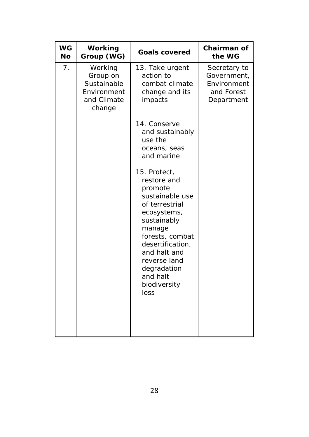| <b>WG</b><br>No | Working<br>Group (WG)                                                      | <b>Goals covered</b>                                                                                                                                                                                                                          | Chairman of<br>the WG                                                  |
|-----------------|----------------------------------------------------------------------------|-----------------------------------------------------------------------------------------------------------------------------------------------------------------------------------------------------------------------------------------------|------------------------------------------------------------------------|
| 7.              | Working<br>Group on<br>Sustainable<br>Environment<br>and Climate<br>change | 13. Take urgent<br>action to<br>combat climate<br>change and its<br>impacts                                                                                                                                                                   | Secretary to<br>Government,<br>Environment<br>and Forest<br>Department |
|                 |                                                                            | 14. Conserve<br>and sustainably<br>use the<br>oceans, seas<br>and marine                                                                                                                                                                      |                                                                        |
|                 |                                                                            | 15. Protect,<br>restore and<br>promote<br>sustainable use<br>of terrestrial<br>ecosystems,<br>sustainably<br>manage<br>forests, combat<br>desertification,<br>and halt and<br>reverse land<br>degradation<br>and halt<br>biodiversity<br>loss |                                                                        |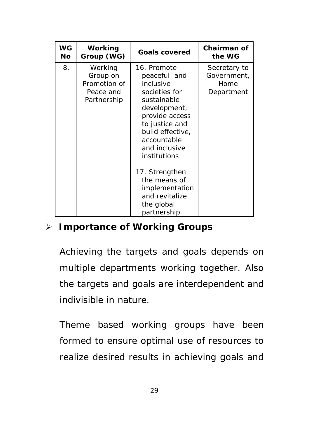| WG<br>Νo | Working<br>Group (WG)                                           | <b>Goals covered</b>                                                                                                                                                                             | Chairman of<br>the WG                             |
|----------|-----------------------------------------------------------------|--------------------------------------------------------------------------------------------------------------------------------------------------------------------------------------------------|---------------------------------------------------|
| 8.       | Working<br>Group on<br>Promotion of<br>Peace and<br>Partnership | 16. Promote<br>peaceful and<br>inclusive<br>societies for<br>sustainable<br>development,<br>provide access<br>to justice and<br>build effective,<br>accountable<br>and inclusive<br>institutions | Secretary to<br>Government,<br>Home<br>Department |
|          |                                                                 | 17. Strengthen<br>the means of<br>implementation<br>and revitalize<br>the global<br>partnership                                                                                                  |                                                   |

## **Importance of Working Groups**

Achieving the targets and goals depends on multiple departments working together. Also the targets and goals are interdependent and indivisible in nature.

Theme based working groups have been formed to ensure optimal use of resources to realize desired results in achieving goals and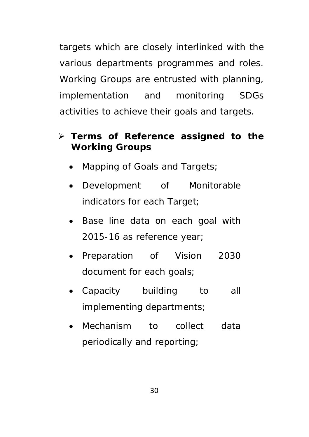targets which are closely interlinked with the various departments programmes and roles. Working Groups are entrusted with planning, implementation and monitoring SDGs activities to achieve their goals and targets.

## **Terms of Reference assigned to the Working Groups**

- Mapping of Goals and Targets;
- Development of Monitorable indicators for each Target;
- Base line data on each goal with 2015-16 as reference year;
- Preparation of Vision 2030 document for each goals;
- Capacity building to all implementing departments;
- Mechanism to collect data periodically and reporting;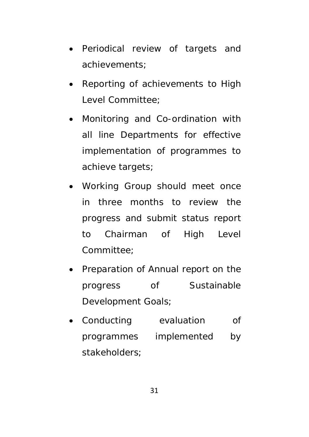- Periodical review of targets and achievements;
- Reporting of achievements to High Level Committee;
- Monitoring and Co-ordination with all line Departments for effective implementation of programmes to achieve targets;
- Working Group should meet once in three months to review the progress and submit status report to Chairman of High Level Committee;
- Preparation of Annual report on the progress of Sustainable Development Goals;
- Conducting evaluation of programmes implemented by stakeholders;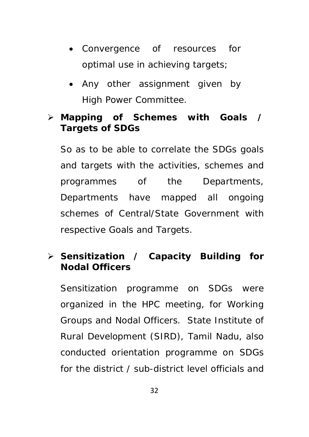- Convergence of resources for optimal use in achieving targets;
- Any other assignment given by High Power Committee.

## **Mapping of Schemes with Goals / Targets of SDGs**

So as to be able to correlate the SDGs goals and targets with the activities, schemes and programmes of the Departments, Departments have mapped all ongoing schemes of Central/State Government with respective Goals and Targets.

## **Sensitization / Capacity Building for Nodal Officers**

Sensitization programme on SDGs were organized in the HPC meeting, for Working Groups and Nodal Officers. State Institute of Rural Development (SIRD), Tamil Nadu, also conducted orientation programme on SDGs for the district / sub-district level officials and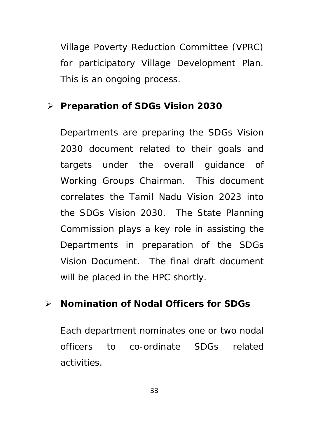Village Poverty Reduction Committee (VPRC) for participatory Village Development Plan. This is an ongoing process.

## **Preparation of SDGs Vision 2030**

Departments are preparing the SDGs Vision 2030 document related to their goals and targets under the overall guidance of Working Groups Chairman. This document correlates the Tamil Nadu Vision 2023 into the SDGs Vision 2030. The State Planning Commission plays a key role in assisting the Departments in preparation of the SDGs Vision Document. The final draft document will be placed in the HPC shortly.

## **Nomination of Nodal Officers for SDGs**

Each department nominates one or two nodal officers to co-ordinate SDGs related activities.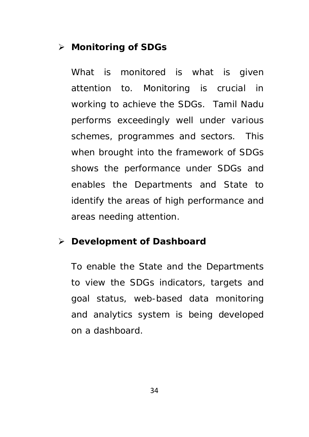# **Monitoring of SDGs**

What is monitored is what is given attention to. Monitoring is crucial in working to achieve the SDGs. Tamil Nadu performs exceedingly well under various schemes, programmes and sectors. This when brought into the framework of SDGs shows the performance under SDGs and enables the Departments and State to identify the areas of high performance and areas needing attention.

### **Development of Dashboard**

To enable the State and the Departments to view the SDGs indicators, targets and goal status, web-based data monitoring and analytics system is being developed on a dashboard.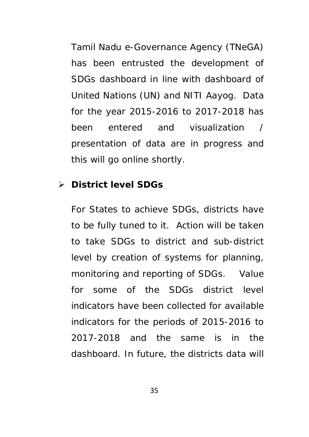Tamil Nadu e-Governance Agency (TNeGA) has been entrusted the development of SDGs dashboard in line with dashboard of United Nations (UN) and NITI Aayog. Data for the year 2015-2016 to 2017-2018 has been entered and visualization / presentation of data are in progress and this will go online shortly.

## **District level SDGs**

For States to achieve SDGs, districts have to be fully tuned to it. Action will be taken to take SDGs to district and sub-district level by creation of systems for planning, monitoring and reporting of SDGs. Value for some of the SDGs district level indicators have been collected for available indicators for the periods of 2015-2016 to 2017-2018 and the same is in the dashboard. In future, the districts data will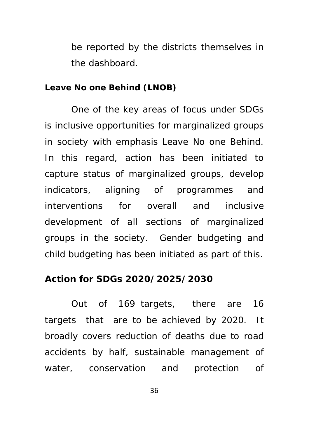be reported by the districts themselves in the dashboard.

#### **Leave No one Behind (LNOB)**

One of the key areas of focus under SDGs is inclusive opportunities for marginalized groups in society with emphasis Leave No one Behind. In this regard, action has been initiated to capture status of marginalized groups, develop indicators, aligning of programmes and interventions for overall and inclusive development of all sections of marginalized groups in the society. Gender budgeting and child budgeting has been initiated as part of this.

## **Action for SDGs 2020/2025/2030**

 Out of 169 targets, there are 16 targets that are to be achieved by 2020. It broadly covers reduction of deaths due to road accidents by half, sustainable management of water, conservation and protection of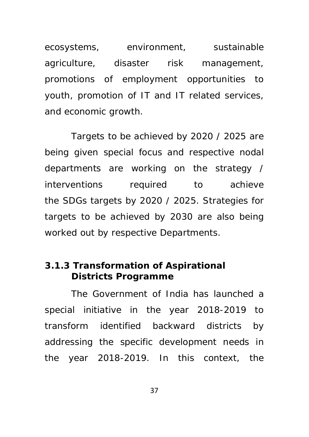ecosystems, environment, sustainable agriculture, disaster risk management, promotions of employment opportunities to youth, promotion of IT and IT related services, and economic growth.

Targets to be achieved by 2020 / 2025 are being given special focus and respective nodal departments are working on the strategy / interventions required to achieve the SDGs targets by 2020 / 2025. Strategies for targets to be achieved by 2030 are also being worked out by respective Departments.

# **3.1.3 Transformation of Aspirational Districts Programme**

The Government of India has launched a special initiative in the year 2018-2019 to transform identified backward districts by addressing the specific development needs in the year 2018-2019. In this context, the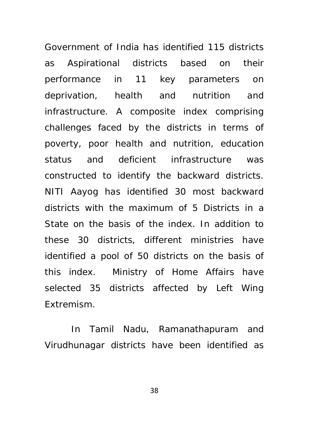Government of India has identified 115 districts as Aspirational districts based on their performance in 11 key parameters on deprivation, health and nutrition and infrastructure. A composite index comprising challenges faced by the districts in terms of poverty, poor health and nutrition, education status and deficient infrastructure was constructed to identify the backward districts. NITI Aayog has identified 30 most backward districts with the maximum of 5 Districts in a State on the basis of the index. In addition to these 30 districts, different ministries have identified a pool of 50 districts on the basis of this index. Ministry of Home Affairs have selected 35 districts affected by Left Wing Extremism.

In Tamil Nadu, Ramanathapuram and Virudhunagar districts have been identified as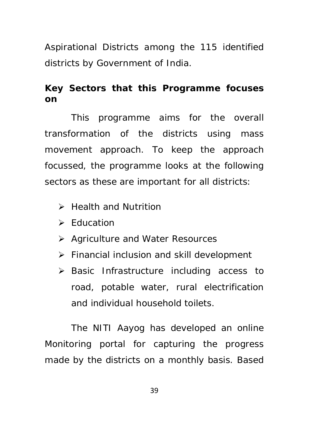Aspirational Districts among the 115 identified districts by Government of India.

# **Key Sectors that this Programme focuses on**

This programme aims for the overall transformation of the districts using mass movement approach. To keep the approach focussed, the programme looks at the following sectors as these are important for all districts:

- **EX Health and Nutrition**
- $\triangleright$  Education
- **▶ Agriculture and Water Resources**
- $\triangleright$  Financial inclusion and skill development
- $\triangleright$  Basic Infrastructure including access to road, potable water, rural electrification and individual household toilets.

The NITI Aayog has developed an online Monitoring portal for capturing the progress made by the districts on a monthly basis. Based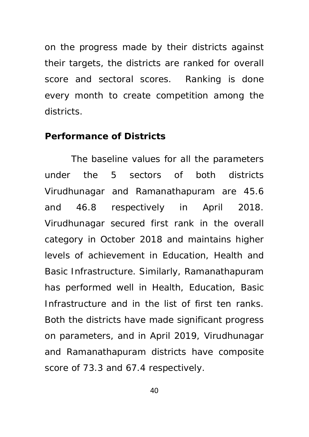on the progress made by their districts against their targets, the districts are ranked for overall score and sectoral scores. Ranking is done every month to create competition among the districts.

#### **Performance of Districts**

The baseline values for all the parameters under the 5 sectors of both districts Virudhunagar and Ramanathapuram are 45.6 and 46.8 respectively in April 2018. Virudhunagar secured first rank in the overall category in October 2018 and maintains higher levels of achievement in Education, Health and Basic Infrastructure. Similarly, Ramanathapuram has performed well in Health, Education, Basic Infrastructure and in the list of first ten ranks. Both the districts have made significant progress on parameters, and in April 2019, Virudhunagar and Ramanathapuram districts have composite score of 73.3 and 67.4 respectively.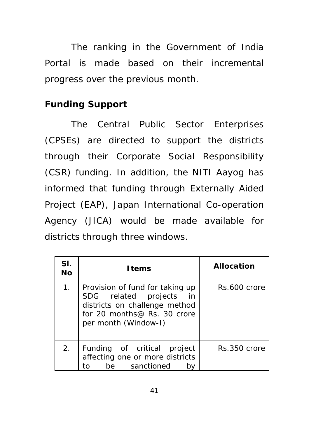The ranking in the Government of India Portal is made based on their incremental progress over the previous month.

# **Funding Support**

The Central Public Sector Enterprises (CPSEs) are directed to support the districts through their Corporate Social Responsibility (CSR) funding. In addition, the NITI Aayog has informed that funding through Externally Aided Project (EAP), Japan International Co-operation Agency (JICA) would be made available for districts through three windows.

| SI.<br>No | <u>Items</u>                                                                                                                                           | <b>Allocation</b> |
|-----------|--------------------------------------------------------------------------------------------------------------------------------------------------------|-------------------|
| 1.        | Provision of fund for taking up<br>SDG related projects<br>-in<br>districts on challenge method<br>for 20 months@ Rs. 30 crore<br>per month (Window-I) | Rs.600 crore      |
| 2.        | Funding of critical project<br>affecting one or more districts<br>be sanctioned<br>tΩ                                                                  | Rs.350 crore      |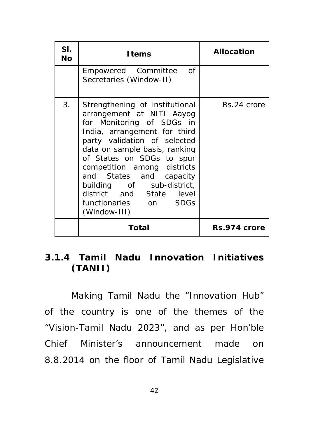| SI.<br>No | <u>Items</u>                                                                                                                                                                                                                                                                                                                                                                       | <b>Allocation</b> |
|-----------|------------------------------------------------------------------------------------------------------------------------------------------------------------------------------------------------------------------------------------------------------------------------------------------------------------------------------------------------------------------------------------|-------------------|
|           | Empowered Committee<br>of<br>Secretaries (Window-II)                                                                                                                                                                                                                                                                                                                               |                   |
| 3.        | Strengthening of institutional<br>arrangement at NITI Aayog<br>for Monitoring of SDGs in<br>India, arrangement for third<br>party validation of selected<br>data on sample basis, ranking<br>of States on SDGs to spur<br>competition among districts<br>and States and capacity<br>building of sub-district,<br>district and State level<br>functionaries on SDGs<br>(Window-III) | Rs.24 crore       |
|           | Total                                                                                                                                                                                                                                                                                                                                                                              | Rs.974 crore      |

# **3.1.4 Tamil Nadu Innovation Initiatives (TANII)**

Making Tamil Nadu the "Innovation Hub" of the country is one of the themes of the "Vision-Tamil Nadu 2023", and as per Hon'ble Chief Minister's announcement made on 8.8.2014 on the floor of Tamil Nadu Legislative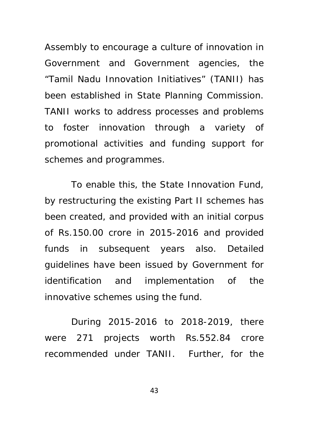Assembly to encourage a culture of innovation in Government and Government agencies, the "Tamil Nadu Innovation Initiatives" (TANII) has been established in State Planning Commission. TANII works to address processes and problems to foster innovation through a variety of promotional activities and funding support for schemes and programmes.

To enable this, the State Innovation Fund, by restructuring the existing Part II schemes has been created, and provided with an initial corpus of Rs.150.00 crore in 2015-2016 and provided funds in subsequent years also. Detailed guidelines have been issued by Government for identification and implementation of the innovative schemes using the fund.

During 2015-2016 to 2018-2019, there were 271 projects worth Rs.552.84 crore recommended under TANII. Further, for the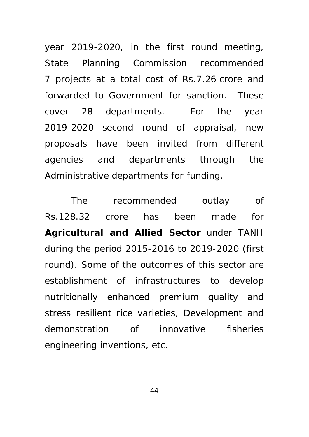year 2019-2020, in the first round meeting, State Planning Commission recommended 7 projects at a total cost of Rs.7.26 crore and forwarded to Government for sanction. These cover 28 departments. For the year 2019-2020 second round of appraisal, new proposals have been invited from different agencies and departments through the Administrative departments for funding.

The recommended outlay of Rs.128.32 crore has been made for **Agricultural and Allied Sector** under TANII during the period 2015-2016 to 2019-2020 (first round). Some of the outcomes of this sector are establishment of infrastructures to develop nutritionally enhanced premium quality and stress resilient rice varieties, Development and demonstration of innovative fisheries engineering inventions, etc.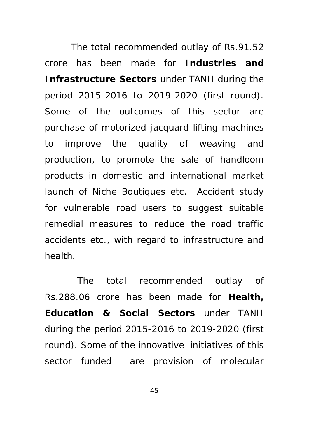The total recommended outlay of Rs.91.52 crore has been made for **Industries and Infrastructure Sectors** under TANII during the period 2015-2016 to 2019-2020 (first round). Some of the outcomes of this sector are purchase of motorized jacquard lifting machines to improve the quality of weaving and production, to promote the sale of handloom products in domestic and international market launch of Niche Boutiques etc. Accident study for vulnerable road users to suggest suitable remedial measures to reduce the road traffic accidents etc., with regard to infrastructure and health.

 The total recommended outlay of Rs.288.06 crore has been made for **Health, Education & Social Sectors** under TANII during the period 2015-2016 to 2019-2020 (first round). Some of the innovative initiatives of this sector funded are provision of molecular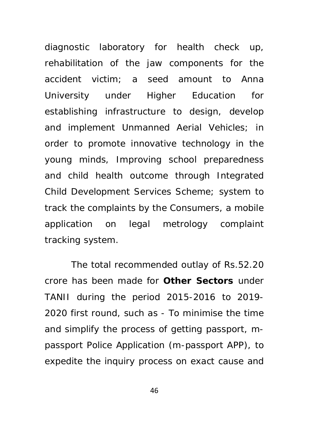diagnostic laboratory for health check up, rehabilitation of the jaw components for the accident victim; a seed amount to Anna University under Higher Education for establishing infrastructure to design, develop and implement Unmanned Aerial Vehicles; in order to promote innovative technology in the young minds, Improving school preparedness and child health outcome through Integrated Child Development Services Scheme; system to track the complaints by the Consumers, a mobile application on legal metrology complaint tracking system.

The total recommended outlay of Rs.52.20 crore has been made for **Other Sectors** under TANII during the period 2015-2016 to 2019- 2020 first round, such as - To minimise the time and simplify the process of getting passport, mpassport Police Application (m-passport APP), to expedite the inquiry process on exact cause and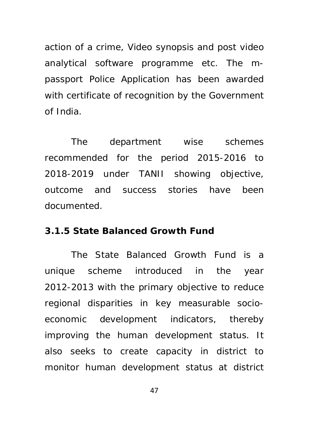action of a crime, Video synopsis and post video analytical software programme etc. The mpassport Police Application has been awarded with certificate of recognition by the Government of India.

The department wise schemes recommended for the period 2015-2016 to 2018-2019 under TANII showing objective, outcome and success stories have been documented.

#### **3.1.5 State Balanced Growth Fund**

The State Balanced Growth Fund is a unique scheme introduced in the year 2012-2013 with the primary objective to reduce regional disparities in key measurable socioeconomic development indicators, thereby improving the human development status. It also seeks to create capacity in district to monitor human development status at district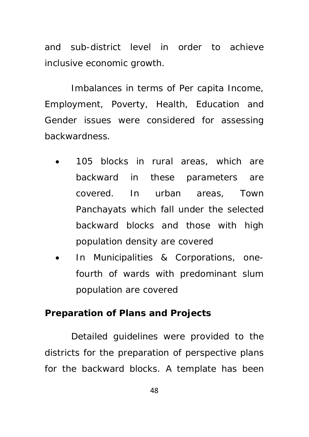and sub-district level in order to achieve inclusive economic growth.

Imbalances in terms of Per capita Income, Employment, Poverty, Health, Education and Gender issues were considered for assessing backwardness.

- 105 blocks in rural areas, which are backward in these parameters are covered. In urban areas, Town Panchayats which fall under the selected backward blocks and those with high population density are covered
- In Municipalities & Corporations, onefourth of wards with predominant slum population are covered

#### **Preparation of Plans and Projects**

Detailed guidelines were provided to the districts for the preparation of perspective plans for the backward blocks. A template has been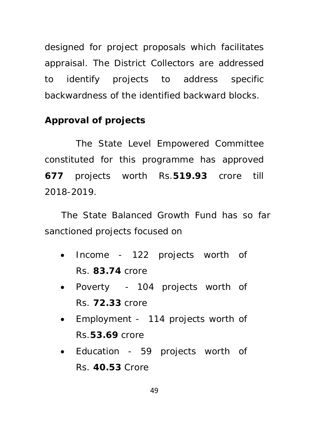designed for project proposals which facilitates appraisal. The District Collectors are addressed to identify projects to address specific backwardness of the identified backward blocks.

## **Approval of projects**

The State Level Empowered Committee constituted for this programme has approved **677** projects worth Rs.**519.93** crore till 2018-2019.

The State Balanced Growth Fund has so far sanctioned projects focused on

- Income 122 projects worth of Rs. **83.74** crore
- Poverty 104 projects worth of Rs. **72.33** crore
- Employment 114 projects worth of Rs.**53.69** crore
- Education 59 projects worth of Rs. **40.53** Crore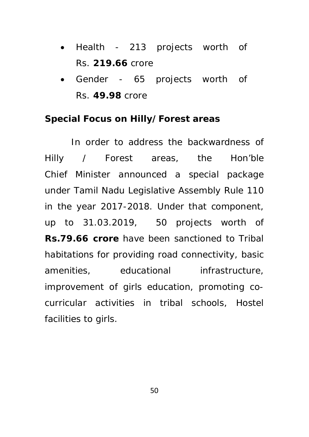- Health 213 projects worth of Rs. **219.66** crore
- Gender 65 projects worth of Rs. **49.98** crore

### **Special Focus on Hilly/Forest areas**

In order to address the backwardness of Hilly / Forest areas, the Hon'ble Chief Minister announced a special package under Tamil Nadu Legislative Assembly Rule 110 in the year 2017-2018. Under that component, up to 31.03.2019, 50 projects worth of **Rs.79.66 crore** have been sanctioned to Tribal habitations for providing road connectivity, basic amenities, educational infrastructure, improvement of girls education, promoting cocurricular activities in tribal schools, Hostel facilities to girls.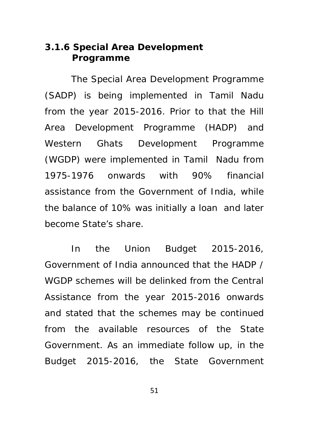## **3.1.6 Special Area Development Programme**

The Special Area Development Programme (SADP) is being implemented in Tamil Nadu from the year 2015-2016. Prior to that the Hill Area Development Programme (HADP) and Western Ghats Development Programme (WGDP) were implemented in Tamil Nadu from 1975-1976 onwards with 90% financial assistance from the Government of India, while the balance of 10% was initially a loan and later become State's share.

In the Union Budget 2015-2016, Government of India announced that the HADP / WGDP schemes will be delinked from the Central Assistance from the year 2015-2016 onwards and stated that the schemes may be continued from the available resources of the State Government. As an immediate follow up, in the Budget 2015-2016, the State Government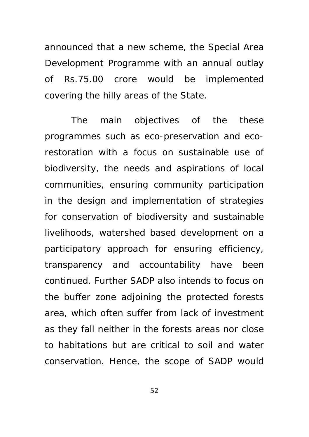announced that a new scheme, the Special Area Development Programme with an annual outlay of Rs.75.00 crore would be implemented covering the hilly areas of the State.

The main objectives of the these programmes such as eco-preservation and ecorestoration with a focus on sustainable use of biodiversity, the needs and aspirations of local communities, ensuring community participation in the design and implementation of strategies for conservation of biodiversity and sustainable livelihoods, watershed based development on a participatory approach for ensuring efficiency, transparency and accountability have been continued. Further SADP also intends to focus on the buffer zone adjoining the protected forests area, which often suffer from lack of investment as they fall neither in the forests areas nor close to habitations but are critical to soil and water conservation. Hence, the scope of SADP would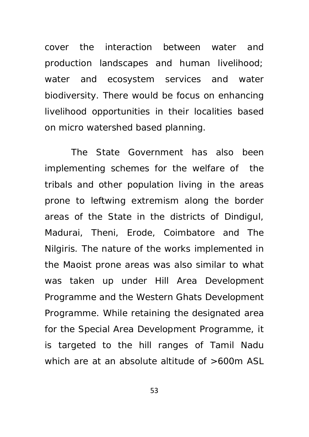cover the interaction between water and production landscapes and human livelihood; water and ecosystem services and water biodiversity. There would be focus on enhancing livelihood opportunities in their localities based on micro watershed based planning.

The State Government has also been implementing schemes for the welfare of the tribals and other population living in the areas prone to leftwing extremism along the border areas of the State in the districts of Dindigul, Madurai, Theni, Erode, Coimbatore and The Nilgiris. The nature of the works implemented in the Maoist prone areas was also similar to what was taken up under Hill Area Development Programme and the Western Ghats Development Programme. While retaining the designated area for the Special Area Development Programme, it is targeted to the hill ranges of Tamil Nadu which are at an absolute altitude of >600m ASL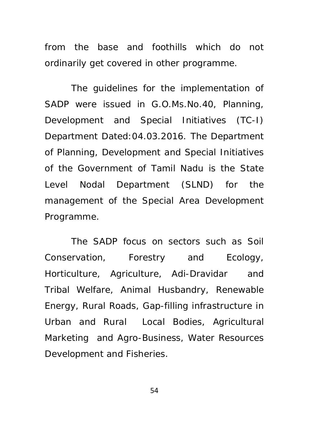from the base and foothills which do not ordinarily get covered in other programme.

The guidelines for the implementation of SADP were issued in G.O.Ms.No.40, Planning, Development and Special Initiatives (TC-I) Department Dated:04.03.2016. The Department of Planning, Development and Special Initiatives of the Government of Tamil Nadu is the State Level Nodal Department (SLND) for the management of the Special Area Development Programme.

The SADP focus on sectors such as Soil Conservation, Forestry and Ecology, Horticulture, Agriculture, Adi-Dravidar and Tribal Welfare, Animal Husbandry, Renewable Energy, Rural Roads, Gap-filling infrastructure in Urban and Rural Local Bodies, Agricultural Marketing and Agro-Business, Water Resources Development and Fisheries.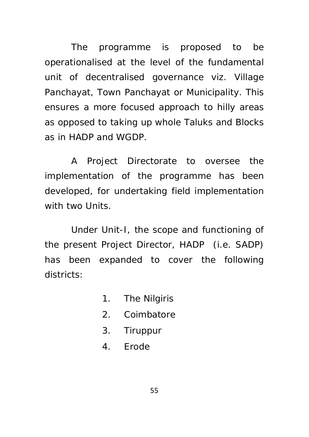The programme is proposed to be operationalised at the level of the fundamental unit of decentralised governance viz. Village Panchayat, Town Panchayat or Municipality. This ensures a more focused approach to hilly areas as opposed to taking up whole Taluks and Blocks as in HADP and WGDP.

A Project Directorate to oversee the implementation of the programme has been developed, for undertaking field implementation with two Units.

Under Unit-I, the scope and functioning of the present Project Director, HADP (i.e. SADP) has been expanded to cover the following districts:

- 1. The Nilgiris
- 2. Coimbatore
- 3. Tiruppur
- 4. Erode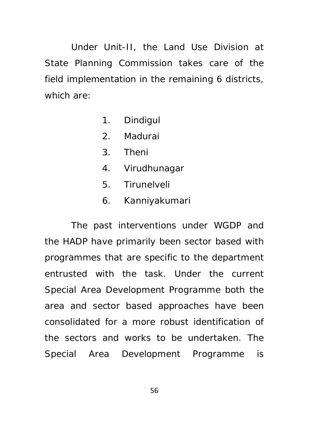Under Unit-II, the Land Use Division at State Planning Commission takes care of the field implementation in the remaining 6 districts, which are:

- 1. Dindigul
- 2. Madurai
- 3. Theni
- 4. Virudhunagar
- 5. Tirunelveli
- 6. Kanniyakumari

The past interventions under WGDP and the HADP have primarily been sector based with programmes that are specific to the department entrusted with the task. Under the current Special Area Development Programme both the area and sector based approaches have been consolidated for a more robust identification of the sectors and works to be undertaken. The Special Area Development Programme is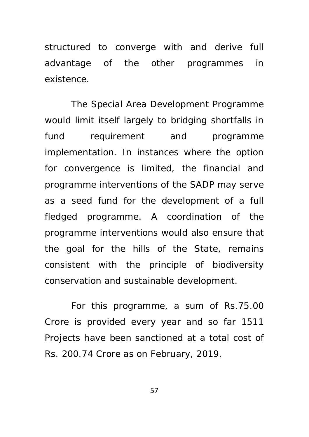structured to converge with and derive full advantage of the other programmes in existence.

The Special Area Development Programme would limit itself largely to bridging shortfalls in fund requirement and programme implementation. In instances where the option for convergence is limited, the financial and programme interventions of the SADP may serve as a seed fund for the development of a full fledged programme. A coordination of the programme interventions would also ensure that the goal for the hills of the State, remains consistent with the principle of biodiversity conservation and sustainable development.

For this programme, a sum of Rs.75.00 Crore is provided every year and so far 1511 Projects have been sanctioned at a total cost of Rs. 200.74 Crore as on February, 2019.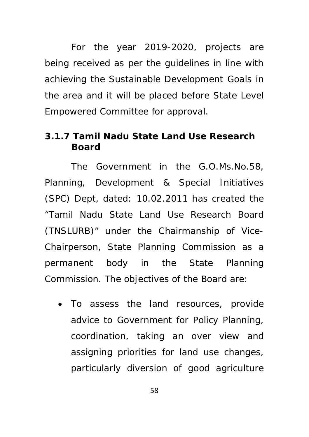For the year 2019-2020, projects are being received as per the guidelines in line with achieving the Sustainable Development Goals in the area and it will be placed before State Level Empowered Committee for approval.

## **3.1.7 Tamil Nadu State Land Use Research Board**

The Government in the G.O.Ms.No.58, Planning, Development & Special Initiatives (SPC) Dept, dated: 10.02.2011 has created the "Tamil Nadu State Land Use Research Board (TNSLURB)" under the Chairmanship of Vice-Chairperson, State Planning Commission as a permanent body in the State Planning Commission. The objectives of the Board are:

 To assess the land resources, provide advice to Government for Policy Planning, coordination, taking an over view and assigning priorities for land use changes, particularly diversion of good agriculture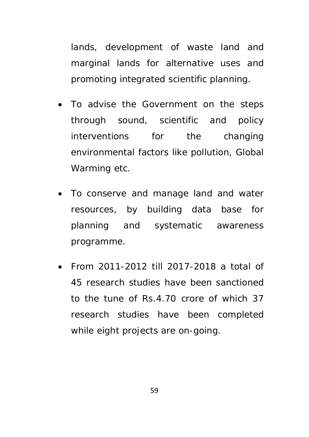lands, development of waste land and marginal lands for alternative uses and promoting integrated scientific planning.

- To advise the Government on the steps through sound, scientific and policy interventions for the changing environmental factors like pollution, Global Warming etc.
- To conserve and manage land and water resources, by building data base for planning and systematic awareness programme.
- From 2011-2012 till 2017-2018 a total of 45 research studies have been sanctioned to the tune of Rs.4.70 crore of which 37 research studies have been completed while eight projects are on-going.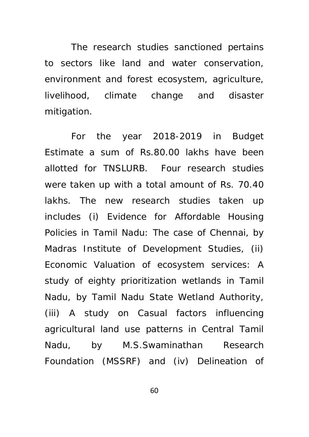The research studies sanctioned pertains to sectors like land and water conservation, environment and forest ecosystem, agriculture, livelihood, climate change and disaster mitigation.

For the year 2018-2019 in Budget Estimate a sum of Rs.80.00 lakhs have been allotted for TNSLURB. Four research studies were taken up with a total amount of Rs. 70.40 lakhs. The new research studies taken up includes (i) Evidence for Affordable Housing Policies in Tamil Nadu: The case of Chennai, by Madras Institute of Development Studies, (ii) Economic Valuation of ecosystem services: A study of eighty prioritization wetlands in Tamil Nadu, by Tamil Nadu State Wetland Authority, (iii) A study on Casual factors influencing agricultural land use patterns in Central Tamil Nadu, by M.S.Swaminathan Research Foundation (MSSRF) and (iv) Delineation of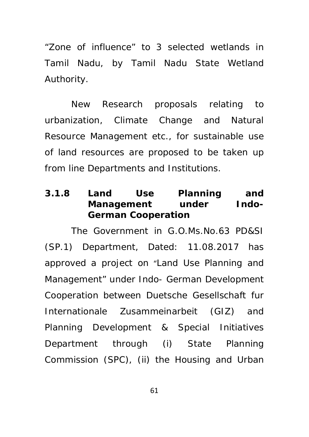"Zone of influence" to 3 selected wetlands in Tamil Nadu, by Tamil Nadu State Wetland Authority.

New Research proposals relating to urbanization, Climate Change and Natural Resource Management etc., for sustainable use of land resources are proposed to be taken up from line Departments and Institutions.

## **3.1.8 Land Use Planning and Management under Indo- German Cooperation**

The Government in G.O.Ms.No.63 PD&SI (SP.1) Department, Dated: 11.08.2017 has approved a project on "Land Use Planning and Management" under Indo- German Development Cooperation between Duetsche Gesellschaft fur Internationale Zusammeinarbeit (GIZ) and Planning Development & Special Initiatives Department through (i) State Planning Commission (SPC), (ii) the Housing and Urban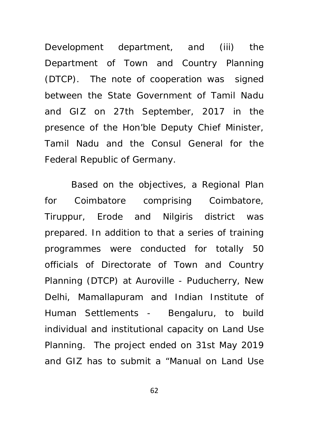Development department, and (iii) the Department of Town and Country Planning (DTCP). The note of cooperation was signed between the State Government of Tamil Nadu and GIZ on 27th September, 2017 in the presence of the Hon'ble Deputy Chief Minister, Tamil Nadu and the Consul General for the Federal Republic of Germany.

Based on the objectives, a Regional Plan for Coimbatore comprising Coimbatore, Tiruppur, Erode and Nilgiris district was prepared. In addition to that a series of training programmes were conducted for totally 50 officials of Directorate of Town and Country Planning (DTCP) at Auroville - Puducherry, New Delhi, Mamallapuram and Indian Institute of Human Settlements - Bengaluru, to build individual and institutional capacity on Land Use Planning. The project ended on 31st May 2019 and GIZ has to submit a "Manual on Land Use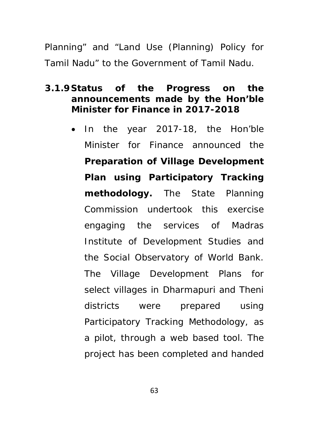Planning" and "Land Use (Planning) Policy for Tamil Nadu" to the Government of Tamil Nadu.

# **3.1.9 Status of the Progress on the announcements made by the Hon'ble Minister for Finance in 2017-2018**

 In the year 2017-18, the Hon'ble Minister for Finance announced the **Preparation of Village Development Plan using Participatory Tracking methodology.** The State Planning Commission undertook this exercise engaging the services of Madras Institute of Development Studies and the Social Observatory of World Bank. The Village Development Plans for select villages in Dharmapuri and Theni districts were prepared using Participatory Tracking Methodology, as a pilot, through a web based tool. The project has been completed and handed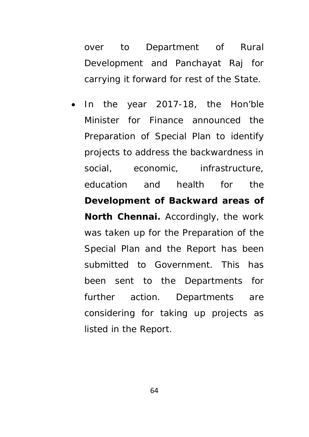over to Department of Rural Development and Panchayat Raj for carrying it forward for rest of the State.

 In the year 2017-18, the Hon'ble Minister for Finance announced the Preparation of Special Plan to identify projects to address the backwardness in social, economic, infrastructure, education and health for the **Development of Backward areas of North Chennai.** Accordingly, the work was taken up for the Preparation of the Special Plan and the Report has been submitted to Government. This has been sent to the Departments for further action. Departments are considering for taking up projects as listed in the Report.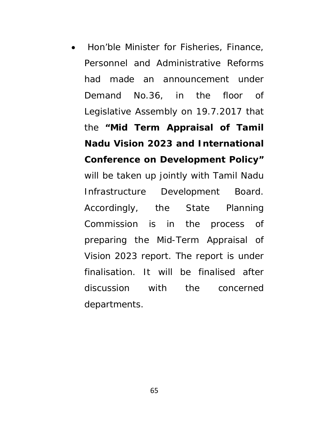Hon'ble Minister for Fisheries, Finance, Personnel and Administrative Reforms had made an announcement under Demand No.36, in the floor of Legislative Assembly on 19.7.2017 that the **"Mid Term Appraisal of Tamil Nadu Vision 2023 and International Conference on Development Policy"** will be taken up jointly with Tamil Nadu Infrastructure Development Board. Accordingly, the State Planning Commission is in the process of preparing the Mid-Term Appraisal of Vision 2023 report. The report is under finalisation. It will be finalised after discussion with the concerned departments.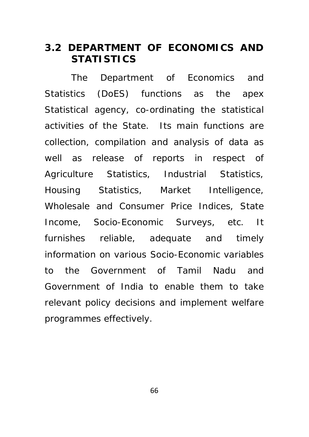# **3.2 DEPARTMENT OF ECONOMICS AND STATISTICS**

The Department of Economics and Statistics (DoES) functions as the apex Statistical agency, co-ordinating the statistical activities of the State. Its main functions are collection, compilation and analysis of data as well as release of reports in respect of Agriculture Statistics, Industrial Statistics, Housing Statistics, Market Intelligence, Wholesale and Consumer Price Indices, State Income, Socio-Economic Surveys, etc. It furnishes reliable, adequate and timely information on various Socio-Economic variables to the Government of Tamil Nadu and Government of India to enable them to take relevant policy decisions and implement welfare programmes effectively.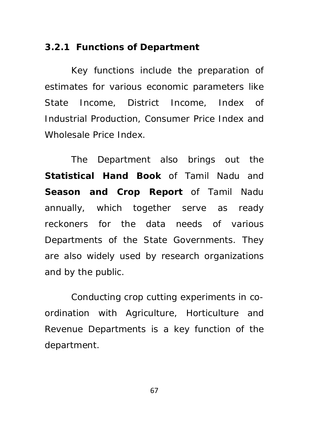# **3.2.1 Functions of Department**

Key functions include the preparation of estimates for various economic parameters like State Income, District Income, Index of Industrial Production, Consumer Price Index and Wholesale Price Index.

The Department also brings out the **Statistical Hand Book** of Tamil Nadu and **Season and Crop Report** of Tamil Nadu annually, which together serve as ready reckoners for the data needs of various Departments of the State Governments. They are also widely used by research organizations and by the public.

Conducting crop cutting experiments in coordination with Agriculture, Horticulture and Revenue Departments is a key function of the department.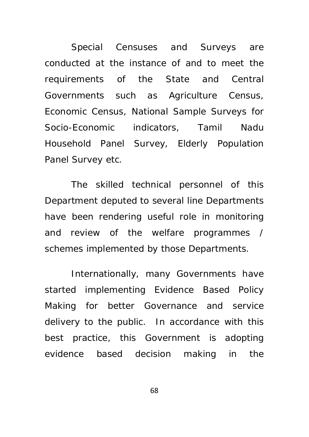Special Censuses and Surveys are conducted at the instance of and to meet the requirements of the State and Central Governments such as Agriculture Census, Economic Census, National Sample Surveys for Socio-Economic indicators, Tamil Nadu Household Panel Survey, Elderly Population Panel Survey etc.

The skilled technical personnel of this Department deputed to several line Departments have been rendering useful role in monitoring and review of the welfare programmes / schemes implemented by those Departments.

Internationally, many Governments have started implementing Evidence Based Policy Making for better Governance and service delivery to the public. In accordance with this best practice, this Government is adopting evidence based decision making in the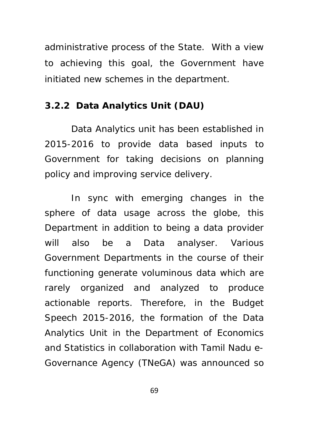administrative process of the State. With a view to achieving this goal, the Government have initiated new schemes in the department.

### **3.2.2 Data Analytics Unit (DAU)**

Data Analytics unit has been established in 2015-2016 to provide data based inputs to Government for taking decisions on planning policy and improving service delivery.

In sync with emerging changes in the sphere of data usage across the globe, this Department in addition to being a data provider will also be a Data analyser. Various Government Departments in the course of their functioning generate voluminous data which are rarely organized and analyzed to produce actionable reports. Therefore, in the Budget Speech 2015-2016, the formation of the Data Analytics Unit in the Department of Economics and Statistics in collaboration with Tamil Nadu e-Governance Agency (TNeGA) was announced so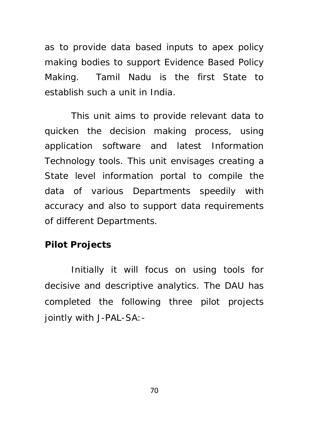as to provide data based inputs to apex policy making bodies to support Evidence Based Policy Making. Tamil Nadu is the first State to establish such a unit in India.

This unit aims to provide relevant data to quicken the decision making process, using application software and latest Information Technology tools. This unit envisages creating a State level information portal to compile the data of various Departments speedily with accuracy and also to support data requirements of different Departments.

### **Pilot Projects**

Initially it will focus on using tools for decisive and descriptive analytics. The DAU has completed the following three pilot projects jointly with J-PAL-SA:-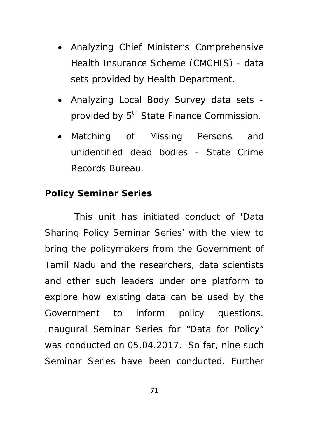- Analyzing Chief Minister's Comprehensive Health Insurance Scheme (CMCHIS) - data sets provided by Health Department.
- Analyzing Local Body Survey data sets provided by 5<sup>th</sup> State Finance Commission.
- Matching of Missing Persons and unidentified dead bodies - State Crime Records Bureau.

## **Policy Seminar Series**

 This unit has initiated conduct of 'Data Sharing Policy Seminar Series' with the view to bring the policymakers from the Government of Tamil Nadu and the researchers, data scientists and other such leaders under one platform to explore how existing data can be used by the Government to inform policy questions. Inaugural Seminar Series for "Data for Policy" was conducted on 05.04.2017. So far, nine such Seminar Series have been conducted. Further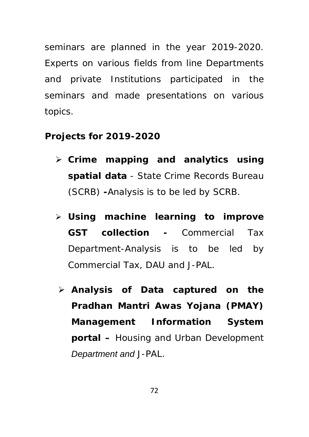seminars are planned in the year 2019-2020. Experts on various fields from line Departments and private Institutions participated in the seminars and made presentations on various topics.

## **Projects for 2019-2020**

- **Crime mapping and analytics using spatial data** - *State Crime Records Bureau (SCRB)* **-**Analysis is to be led by SCRB.
- **Using machine learning to improve GST collection -** *Commercial Tax Department*-Analysis is to be led by Commercial Tax, DAU and J-PAL.
- **Analysis of Data captured on the Pradhan Mantri Awas Yojana (PMAY) Management Information System portal –** *Housing and Urban Development Department and J-PAL.*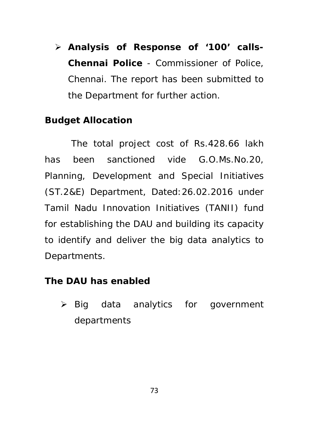**Analysis of Response of '100' calls-Chennai Police** - *Commissioner of Police, Chennai*. The report has been submitted to the Department for further action.

## **Budget Allocation**

The total project cost of Rs.428.66 lakh has been sanctioned vide G.O.Ms.No.20, Planning, Development and Special Initiatives (ST.2&E) Department, Dated:26.02.2016 under Tamil Nadu Innovation Initiatives (TANII) fund for establishing the DAU and building its capacity to identify and deliver the big data analytics to Departments.

#### **The DAU has enabled**

 $\triangleright$  Big data analytics for government departments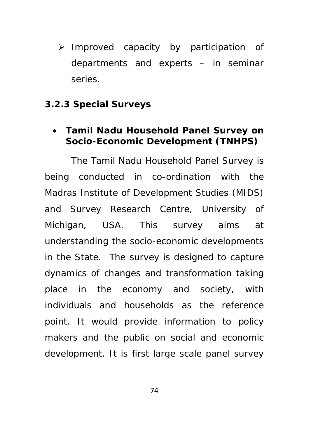$\triangleright$  Improved capacity by participation of departments and experts – in seminar series.

### **3.2.3 Special Surveys**

### **Tamil Nadu Household Panel Survey on Socio-Economic Development (TNHPS)**

The Tamil Nadu Household Panel Survey is being conducted in co-ordination with the Madras Institute of Development Studies (MIDS) and Survey Research Centre, University of Michigan, USA. This survey aims at understanding the socio-economic developments in the State. The survey is designed to capture dynamics of changes and transformation taking place in the economy and society, with individuals and households as the reference point. It would provide information to policy makers and the public on social and economic development. It is first large scale panel survey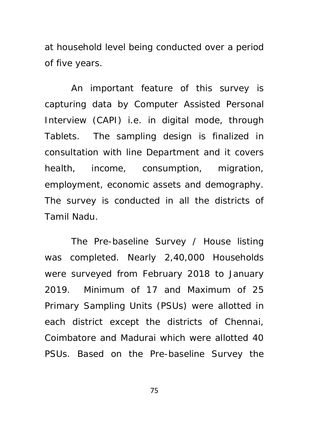at household level being conducted over a period of five years.

An important feature of this survey is capturing data by Computer Assisted Personal Interview (CAPI) i.e. in digital mode, through Tablets. The sampling design is finalized in consultation with line Department and it covers health, income, consumption, migration, employment, economic assets and demography. The survey is conducted in all the districts of Tamil Nadu.

The Pre-baseline Survey / House listing was completed. Nearly 2,40,000 Households were surveyed from February 2018 to January 2019. Minimum of 17 and Maximum of 25 Primary Sampling Units (PSUs) were allotted in each district except the districts of Chennai, Coimbatore and Madurai which were allotted 40 PSUs. Based on the Pre-baseline Survey the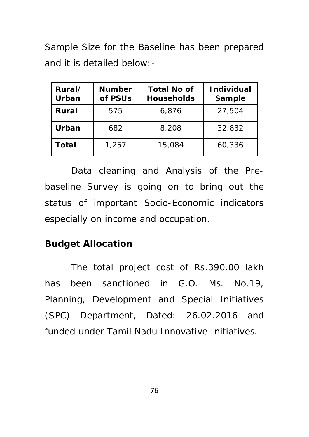Sample Size for the Baseline has been prepared and it is detailed below:-

| Rural/<br>Urban | <b>Number</b><br>of PSUs | <b>Total No of</b><br><b>Households</b> | <b>Individual</b><br>Sample |
|-----------------|--------------------------|-----------------------------------------|-----------------------------|
| Rural           | 575                      | 6.876                                   | 27.504                      |
| Urban           | 682                      | 8,208                                   | 32,832                      |
| Total           | 1,257                    | 15,084                                  | 60,336                      |

Data cleaning and Analysis of the Prebaseline Survey is going on to bring out the status of important Socio-Economic indicators especially on income and occupation.

## **Budget Allocation**

The total project cost of Rs.390.00 lakh has been sanctioned in G.O. Ms. No.19, Planning, Development and Special Initiatives (SPC) Department, Dated: 26.02.2016 and funded under Tamil Nadu Innovative Initiatives.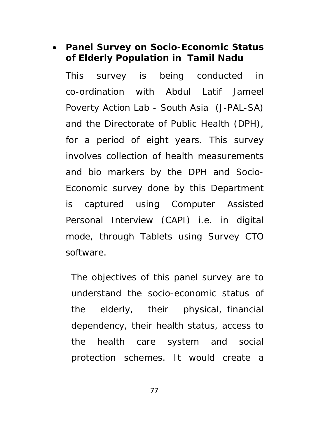# **Panel Survey on Socio-Economic Status of Elderly Population in Tamil Nadu**

This survey is being conducted in co-ordination with Abdul Latif Jameel Poverty Action Lab - South Asia (J-PAL-SA) and the Directorate of Public Health (DPH), for a period of eight years. This survey involves collection of health measurements and bio markers by the DPH and Socio-Economic survey done by this Department is captured using Computer Assisted Personal Interview (CAPI) i.e. in digital mode, through Tablets using Survey CTO software.

The objectives of this panel survey are to understand the socio-economic status of the elderly, their physical, financial dependency, their health status, access to the health care system and social protection schemes. It would create a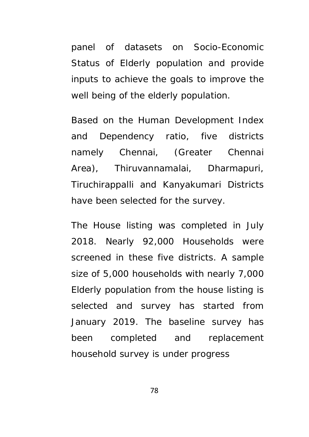panel of datasets on Socio-Economic Status of Elderly population and provide inputs to achieve the goals to improve the well being of the elderly population.

Based on the Human Development Index and Dependency ratio, five districts namely Chennai, (Greater Chennai Area), Thiruvannamalai, Dharmapuri, Tiruchirappalli and Kanyakumari Districts have been selected for the survey.

The House listing was completed in July 2018. Nearly 92,000 Households were screened in these five districts. A sample size of 5,000 households with nearly 7,000 Elderly population from the house listing is selected and survey has started from January 2019. The baseline survey has been completed and replacement household survey is under progress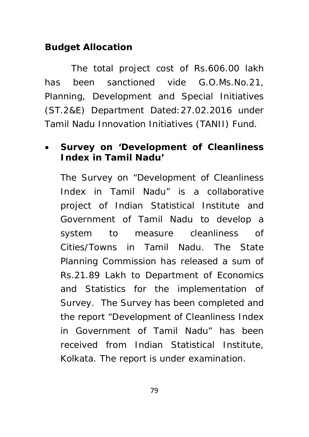# **Budget Allocation**

The total project cost of Rs.606.00 lakh has been sanctioned vide G.O.Ms.No.21, Planning, Development and Special Initiatives (ST.2&E) Department Dated:27.02.2016 under Tamil Nadu Innovation Initiatives (TANII) Fund.

# **Survey on 'Development of Cleanliness Index in Tamil Nadu'**

The Survey on "Development of Cleanliness Index in Tamil Nadu" is a collaborative project of Indian Statistical Institute and Government of Tamil Nadu to develop a system to measure cleanliness of Cities/Towns in Tamil Nadu. The State Planning Commission has released a sum of Rs.21.89 Lakh to Department of Economics and Statistics for the implementation of Survey. The Survey has been completed and the report "Development of Cleanliness Index in Government of Tamil Nadu" has been received from Indian Statistical Institute, Kolkata. The report is under examination.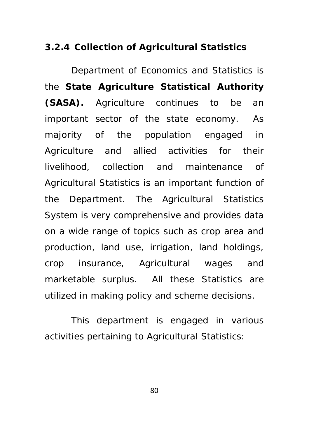### **3.2.4 Collection of Agricultural Statistics**

Department of Economics and Statistics is the **State Agriculture Statistical Authority (SASA).** Agriculture continues to be an important sector of the state economy. As majority of the population engaged in Agriculture and allied activities for their livelihood, collection and maintenance of Agricultural Statistics is an important function of the Department. The Agricultural Statistics System is very comprehensive and provides data on a wide range of topics such as crop area and production, land use, irrigation, land holdings, crop insurance, Agricultural wages and marketable surplus. All these Statistics are utilized in making policy and scheme decisions.

This department is engaged in various activities pertaining to Agricultural Statistics: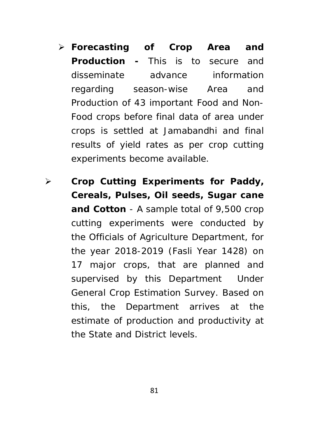- **Forecasting of Crop Area and Production -** This is to secure and disseminate advance information regarding season-wise Area and Production of 43 important Food and Non-Food crops before final data of area under crops is settled at Jamabandhi and final results of yield rates as per crop cutting experiments become available.
- **Crop Cutting Experiments for Paddy, Cereals, Pulses, Oil seeds, Sugar cane and Cotton** - A sample total of 9,500 crop cutting experiments were conducted by the Officials of Agriculture Department, for the year 2018-2019 (Fasli Year 1428) on 17 major crops, that are planned and supervised by this Department Under General Crop Estimation Survey. Based on this, the Department arrives at the estimate of production and productivity at the State and District levels.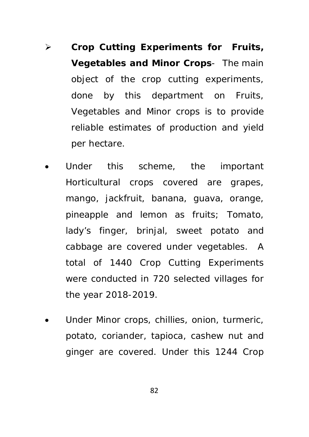- **Crop Cutting Experiments for Fruits, Vegetables and Minor Crops**- The main object of the crop cutting experiments, done by this department on Fruits, Vegetables and Minor crops is to provide reliable estimates of production and yield per hectare.
- Under this scheme, the important Horticultural crops covered are grapes, mango, jackfruit, banana, guava, orange, pineapple and lemon as fruits; Tomato, lady's finger, brinjal, sweet potato and cabbage are covered under vegetables. A total of 1440 Crop Cutting Experiments were conducted in 720 selected villages for the year 2018-2019.
- Under Minor crops, chillies, onion, turmeric, potato, coriander, tapioca, cashew nut and ginger are covered. Under this 1244 Crop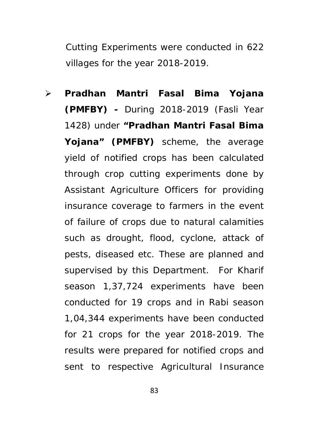Cutting Experiments were conducted in 622 villages for the year 2018-2019.

 **Pradhan Mantri Fasal Bima Yojana (PMFBY) -** During 2018-2019 (Fasli Year 1428) under **"Pradhan Mantri Fasal Bima Yojana" (PMFBY)** scheme, the average yield of notified crops has been calculated through crop cutting experiments done by Assistant Agriculture Officers for providing insurance coverage to farmers in the event of failure of crops due to natural calamities such as drought, flood, cyclone, attack of pests, diseased etc. These are planned and supervised by this Department. For Kharif season 1,37,724 experiments have been conducted for 19 crops and in Rabi season 1,04,344 experiments have been conducted for 21 crops for the year 2018-2019. The results were prepared for notified crops and sent to respective Agricultural Insurance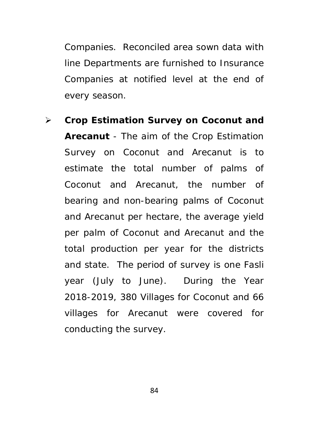Companies. Reconciled area sown data with line Departments are furnished to Insurance Companies at notified level at the end of every season.

 **Crop Estimation Survey on Coconut and Arecanut** - The aim of the Crop Estimation Survey on Coconut and Arecanut is to estimate the total number of palms of Coconut and Arecanut, the number of bearing and non-bearing palms of Coconut and Arecanut per hectare, the average yield per palm of Coconut and Arecanut and the total production per year for the districts and state. The period of survey is one Fasli year (July to June). During the Year 2018-2019, 380 Villages for Coconut and 66 villages for Arecanut were covered for conducting the survey.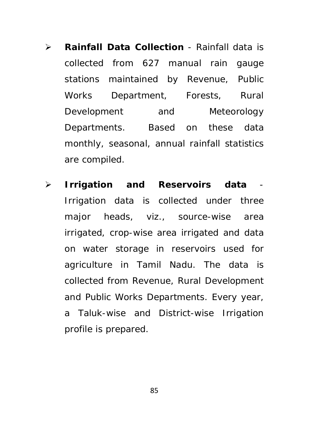- **Rainfall Data Collection** Rainfall data is collected from 627 manual rain gauge stations maintained by Revenue, Public Works Department, Forests, Rural Development and Meteorology Departments. Based on these data monthly, seasonal, annual rainfall statistics are compiled.
- **Figure 1** Figure 2 and Reservoirs data Irrigation data is collected under three major heads, viz., source-wise area irrigated, crop-wise area irrigated and data on water storage in reservoirs used for agriculture in Tamil Nadu. The data is collected from Revenue, Rural Development and Public Works Departments. Every year, a Taluk-wise and District-wise Irrigation profile is prepared.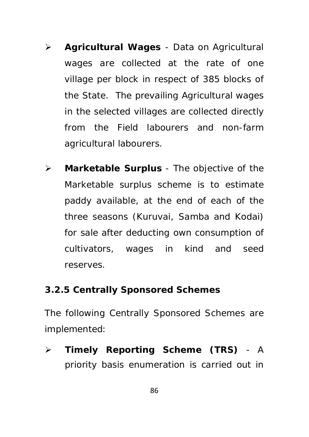- **Agricultural Wages**  Data on Agricultural wages are collected at the rate of one village per block in respect of 385 blocks of the State. The prevailing Agricultural wages in the selected villages are collected directly from the Field labourers and non-farm agricultural labourers.
- **Marketable Surplus** The objective of the Marketable surplus scheme is to estimate paddy available, at the end of each of the three seasons (Kuruvai, Samba and Kodai) for sale after deducting own consumption of cultivators, wages in kind and seed reserves.

# **3.2.5 Centrally Sponsored Schemes**

The following Centrally Sponsored Schemes are implemented:

 **Timely Reporting Scheme (TRS)** - A priority basis enumeration is carried out in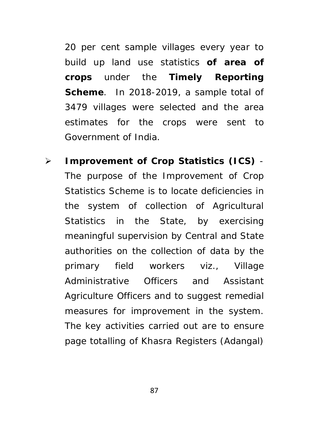20 per cent sample villages every year to build up land use statistics **of area of crops** under the **Timely Reporting Scheme**. In 2018-2019, a sample total of 3479 villages were selected and the area estimates for the crops were sent to Government of India.

 **Improvement of Crop Statistics (ICS)** - The purpose of the Improvement of Crop Statistics Scheme is to locate deficiencies in the system of collection of Agricultural Statistics in the State, by exercising meaningful supervision by Central and State authorities on the collection of data by the primary field workers viz., Village Administrative Officers and Assistant Agriculture Officers and to suggest remedial measures for improvement in the system. The key activities carried out are to ensure page totalling of Khasra Registers (Adangal)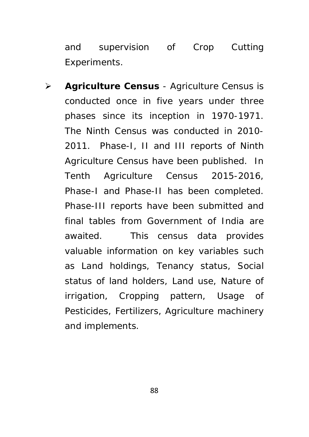and supervision of Crop Cutting Experiments.

 **Agriculture Census** - Agriculture Census is conducted once in five years under three phases since its inception in 1970-1971. The Ninth Census was conducted in 2010- 2011. Phase-I, II and III reports of Ninth Agriculture Census have been published. In Tenth Agriculture Census 2015-2016, Phase-I and Phase-II has been completed. Phase-III reports have been submitted and final tables from Government of India are awaited. This census data provides valuable information on key variables such as Land holdings, Tenancy status, Social status of land holders, Land use, Nature of irrigation, Cropping pattern, Usage of Pesticides, Fertilizers, Agriculture machinery and implements.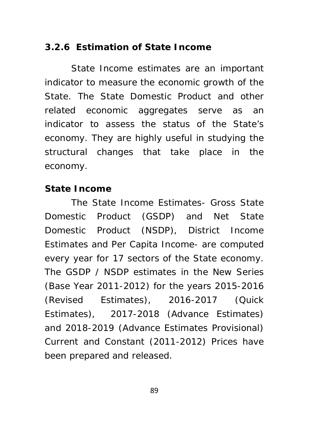## **3.2.6 Estimation of State Income**

State Income estimates are an important indicator to measure the economic growth of the State. The State Domestic Product and other related economic aggregates serve as an indicator to assess the status of the State's economy. They are highly useful in studying the structural changes that take place in the economy.

### **State Income**

The State Income Estimates- Gross State Domestic Product (GSDP) and Net State Domestic Product (NSDP), District Income Estimates and Per Capita Income- are computed every year for 17 sectors of the State economy. The GSDP / NSDP estimates in the New Series (Base Year 2011-2012) for the years 2015-2016 (Revised Estimates), 2016-2017 (Quick Estimates), 2017-2018 (Advance Estimates) and 2018-2019 (Advance Estimates Provisional) Current and Constant (2011-2012) Prices have been prepared and released.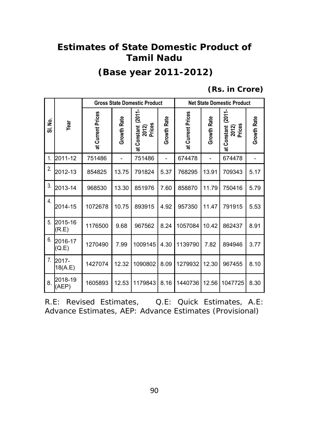# **Estimates of State Domestic Product of Tamil Nadu**

# **(Base year 2011-2012)**

 **(Rs. in Crore)** 

|                  |                  | <b>Gross State Domestic Product</b> |             |                                         |             | <b>Net State Domestic Product</b> |             |                                          |                    |
|------------------|------------------|-------------------------------------|-------------|-----------------------------------------|-------------|-----------------------------------|-------------|------------------------------------------|--------------------|
| ş<br>ಹ           | Year             | at Current Prices                   | Growth Rate | (2011<br>2012)<br>Prices<br>at Constant | Growth Rate | at Current Prices                 | Growth Rate | (2011-<br>Prices<br>at Constant<br>2012) | <b>Growth Rate</b> |
| 1.               | 2011-12          | 751486                              |             | 751486                                  | -           | 674478                            |             | 674478                                   |                    |
| 2.               | 2012-13          | 854825                              | 13.75       | 791824                                  | 5.37        | 768295                            | 13.91       | 709343                                   | 5.17               |
| 3.               | 2013-14          | 968530                              | 13.30       | 851976                                  | 7.60        | 858870                            | 11.79       | 750416                                   | 5.79               |
| $\overline{4}$ . | 2014-15          | 1072678                             | 10.75       | 893915                                  | 4.92        | 957350                            | 11.47       | 791915                                   | 5.53               |
| 5.               | 2015-16<br>(R.E) | 1176500                             | 9.68        | 967562                                  | 8.24        | 1057084                           | 10.42       | 862437                                   | 8.91               |
| 6.               | 2016-17<br>Q.E   | 1270490                             | 7.99        | 1009145                                 | 4.30        | 1139790                           | 7.82        | 894946                                   | 3.77               |
| 7.               | 2017-<br>18(A.E) | 1427074                             | 12.32       | 1090802                                 | 8.09        | 1279932                           | 12.30       | 967455                                   | 8.10               |
| 8.               | 2018-19<br>(AEP) | 1605893                             | 12.53       | 1179843                                 | 8.16        | 1440736                           | 12.56       | 1047725                                  | 8.30               |

|  | R.E: Revised Estimates. |  | Q.E: Quick Estimates, A.E:                              |  |
|--|-------------------------|--|---------------------------------------------------------|--|
|  |                         |  | Advance Estimates, AEP: Advance Estimates (Provisional) |  |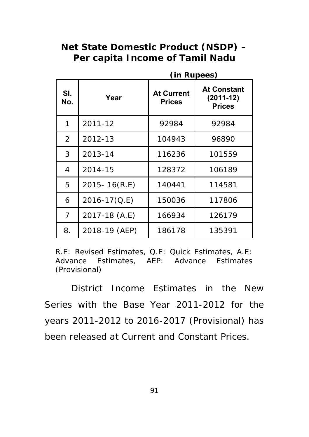# **Net State Domestic Product (NSDP) – Per capita Income of Tamil Nadu**

|            |                                            | (in Rupees) |                                                    |  |  |
|------------|--------------------------------------------|-------------|----------------------------------------------------|--|--|
| SI.<br>No. | <b>At Current</b><br>Year<br><b>Prices</b> |             | <b>At Constant</b><br>$(2011-12)$<br><b>Prices</b> |  |  |
| 1          | 2011-12                                    | 92984       | 92984                                              |  |  |
| 2          | 2012-13                                    | 104943      | 96890                                              |  |  |
| 3          | 2013-14                                    | 116236      | 101559                                             |  |  |
| 4          | 2014-15                                    | 128372      | 106189                                             |  |  |
| 5          | 2015-16(R.E)                               | 140441      | 114581                                             |  |  |
| 6          | 2016-17(Q.E)                               | 150036      | 117806                                             |  |  |
| 7          | 2017-18 (A.E)                              | 166934      | 126179                                             |  |  |
| 8.         | 2018-19 (AEP)                              | 186178      | 135391                                             |  |  |

R.E: Revised Estimates, Q.E: Quick Estimates, A.E: Advance Estimates, AEP: Advance Estimates (Provisional)

District Income Estimates in the New Series with the Base Year 2011-2012 for the years 2011-2012 to 2016-2017 (Provisional) has been released at Current and Constant Prices.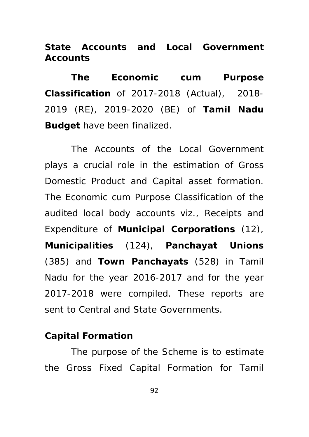**State Accounts and Local Government Accounts**

**The Economic cum Purpose Classification** of 2017-2018 (Actual), 2018- 2019 (RE), 2019-2020 (BE) of **Tamil Nadu Budget** have been finalized.

The Accounts of the Local Government plays a crucial role in the estimation of Gross Domestic Product and Capital asset formation. The Economic cum Purpose Classification of the audited local body accounts viz., Receipts and Expenditure of **Municipal Corporations** (12), **Municipalities** (124), **Panchayat Unions**  (385) and **Town Panchayats** (528) in Tamil Nadu for the year 2016-2017 and for the year 2017-2018 were compiled. These reports are sent to Central and State Governments.

#### **Capital Formation**

The purpose of the Scheme is to estimate the Gross Fixed Capital Formation for Tamil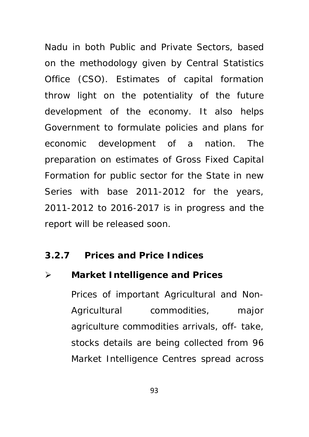Nadu in both Public and Private Sectors, based on the methodology given by Central Statistics Office (CSO). Estimates of capital formation throw light on the potentiality of the future development of the economy. It also helps Government to formulate policies and plans for economic development of a nation. The preparation on estimates of Gross Fixed Capital Formation for public sector for the State in new Series with base 2011-2012 for the years, 2011-2012 to 2016-2017 is in progress and the report will be released soon.

#### **3.2.7 Prices and Price Indices**

### **Market Intelligence and Prices**

Prices of important Agricultural and Non-Agricultural commodities, major agriculture commodities arrivals, off- take, stocks details are being collected from 96 Market Intelligence Centres spread across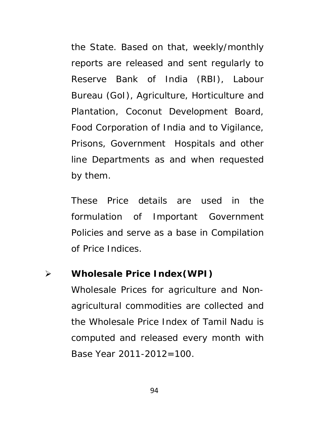the State. Based on that, weekly/monthly reports are released and sent regularly to Reserve Bank of India (RBI), Labour Bureau (GoI), Agriculture, Horticulture and Plantation, Coconut Development Board, Food Corporation of India and to Vigilance, Prisons, Government Hospitals and other line Departments as and when requested by them.

These Price details are used in the formulation of Important Government Policies and serve as a base in Compilation of Price Indices.

### **Wholesale Price Index(WPI)**

Wholesale Prices for agriculture and Nonagricultural commodities are collected and the Wholesale Price Index of Tamil Nadu is computed and released every month with Base Year 2011-2012=100.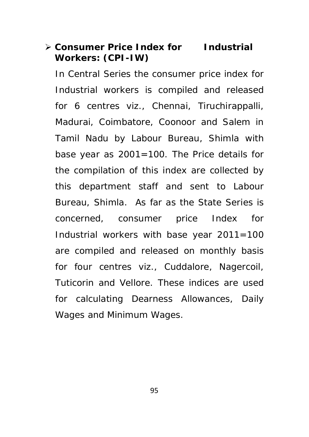# **Consumer Price Index for Industrial Workers: (CPI-IW)**

In Central Series the consumer price index for Industrial workers is compiled and released for 6 centres viz., Chennai, Tiruchirappalli, Madurai, Coimbatore, Coonoor and Salem in Tamil Nadu by Labour Bureau, Shimla with base year as 2001=100. The Price details for the compilation of this index are collected by this department staff and sent to Labour Bureau, Shimla. As far as the State Series is concerned, consumer price Index for Industrial workers with base year 2011=100 are compiled and released on monthly basis for four centres viz., Cuddalore, Nagercoil, Tuticorin and Vellore. These indices are used for calculating Dearness Allowances, Daily Wages and Minimum Wages.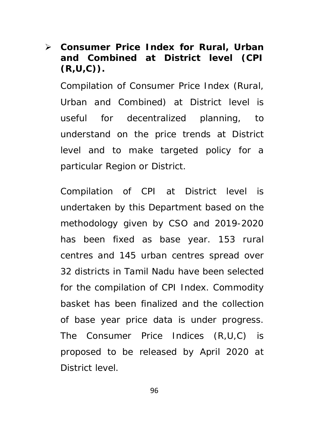# **Consumer Price Index for Rural, Urban and Combined at District level (CPI (R,U,C)).**

Compilation of Consumer Price Index (Rural, Urban and Combined) at District level is useful for decentralized planning, to understand on the price trends at District level and to make targeted policy for a particular Region or District.

Compilation of CPI at District level is undertaken by this Department based on the methodology given by CSO and 2019-2020 has been fixed as base year. 153 rural centres and 145 urban centres spread over 32 districts in Tamil Nadu have been selected for the compilation of CPI Index. Commodity basket has been finalized and the collection of base year price data is under progress. The Consumer Price Indices (R,U,C) is proposed to be released by April 2020 at District level.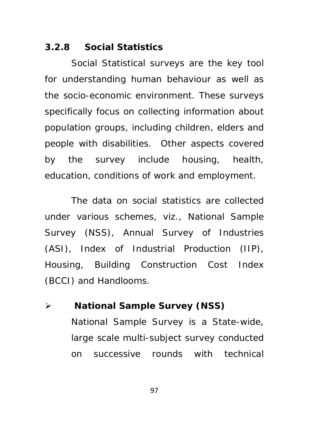#### **3.2.8 Social Statistics**

Social Statistical surveys are the key tool for understanding human behaviour as well as the socio-economic environment. These surveys specifically focus on collecting information about population groups, including children, elders and people with disabilities. Other aspects covered by the survey include housing, health, education, conditions of work and employment.

The data on social statistics are collected under various schemes, viz., National Sample Survey (NSS), Annual Survey of Industries (ASI), Index of Industrial Production (IIP), Housing, Building Construction Cost Index (BCCI) and Handlooms.

 **National Sample Survey (NSS)**  National Sample Survey is a State-wide, large scale multi-subject survey conducted on successive rounds with technical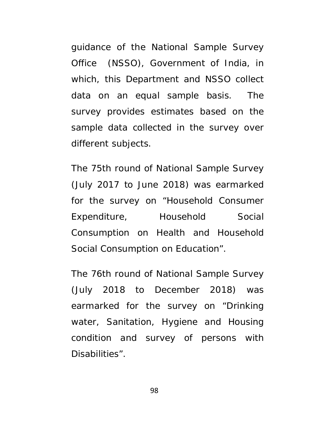guidance of the National Sample Survey Office (NSSO), Government of India, in which, this Department and NSSO collect data on an equal sample basis. The survey provides estimates based on the sample data collected in the survey over different subjects.

The 75th round of National Sample Survey (July 2017 to June 2018) was earmarked for the survey on "Household Consumer Expenditure, Household Social Consumption on Health and Household Social Consumption on Education".

The 76th round of National Sample Survey (July 2018 to December 2018) was earmarked for the survey on "Drinking water, Sanitation, Hygiene and Housing condition and survey of persons with Disabilities".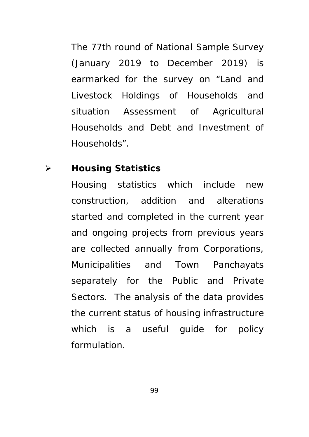The 77th round of National Sample Survey (January 2019 to December 2019) is earmarked for the survey on "Land and Livestock Holdings of Households and situation Assessment of Agricultural Households and Debt and Investment of Households".

### **Housing Statistics**

Housing statistics which include new construction, addition and alterations started and completed in the current year and ongoing projects from previous years are collected annually from Corporations, Municipalities and Town Panchayats separately for the Public and Private Sectors. The analysis of the data provides the current status of housing infrastructure which is a useful guide for policy formulation.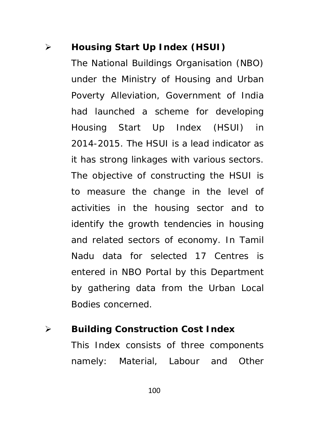## **Housing Start Up Index (HSUI)**

The National Buildings Organisation (NBO) under the Ministry of Housing and Urban Poverty Alleviation, Government of India had launched a scheme for developing Housing Start Up Index (HSUI) in 2014-2015. The HSUI is a lead indicator as it has strong linkages with various sectors. The objective of constructing the HSUI is to measure the change in the level of activities in the housing sector and to identify the growth tendencies in housing and related sectors of economy. In Tamil Nadu data for selected 17 Centres is entered in NBO Portal by this Department by gathering data from the Urban Local Bodies concerned.

 **Building Construction Cost Index**  This Index consists of three components namely: Material, Labour and Other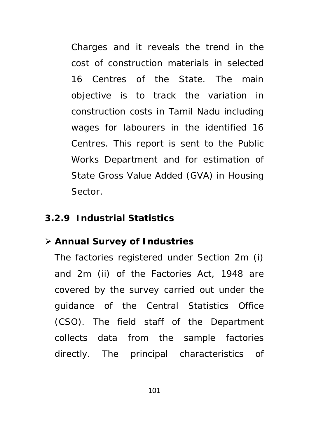Charges and it reveals the trend in the cost of construction materials in selected 16 Centres of the State. The main objective is to track the variation in construction costs in Tamil Nadu including wages for labourers in the identified 16 Centres. This report is sent to the Public Works Department and for estimation of State Gross Value Added (GVA) in Housing Sector.

### **3.2.9 Industrial Statistics**

#### **Annual Survey of Industries**

The factories registered under Section 2m (i) and 2m (ii) of the Factories Act, 1948 are covered by the survey carried out under the guidance of the Central Statistics Office (CSO). The field staff of the Department collects data from the sample factories directly. The principal characteristics of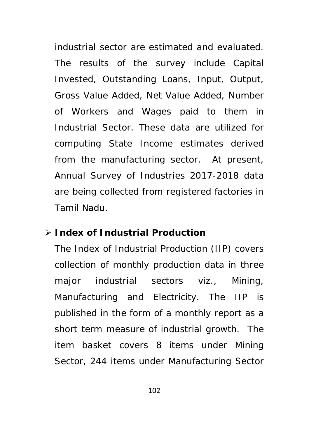industrial sector are estimated and evaluated. The results of the survey include Capital Invested, Outstanding Loans, Input, Output, Gross Value Added, Net Value Added, Number of Workers and Wages paid to them in Industrial Sector. These data are utilized for computing State Income estimates derived from the manufacturing sector. At present, Annual Survey of Industries 2017-2018 data are being collected from registered factories in Tamil Nadu.

#### **Index of Industrial Production**

The Index of Industrial Production (IIP) covers collection of monthly production data in three major industrial sectors viz., Mining, Manufacturing and Electricity. The IIP is published in the form of a monthly report as a short term measure of industrial growth. The item basket covers 8 items under Mining Sector, 244 items under Manufacturing Sector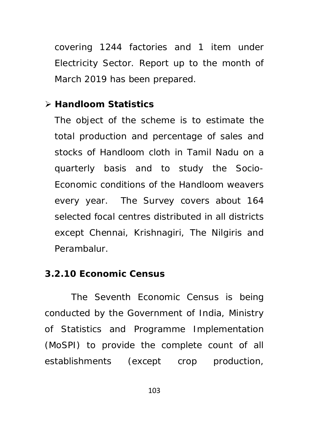covering 1244 factories and 1 item under Electricity Sector. Report up to the month of March 2019 has been prepared.

### **Handloom Statistics**

The object of the scheme is to estimate the total production and percentage of sales and stocks of Handloom cloth in Tamil Nadu on a quarterly basis and to study the Socio-Economic conditions of the Handloom weavers every year. The Survey covers about 164 selected focal centres distributed in all districts except Chennai, Krishnagiri, The Nilgiris and Perambalur.

## **3.2.10 Economic Census**

The Seventh Economic Census is being conducted by the Government of India, Ministry of Statistics and Programme Implementation (MoSPI) to provide the complete count of all establishments (except crop production,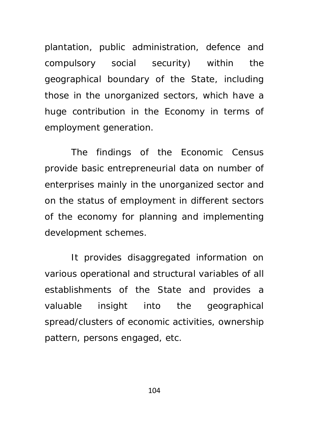plantation, public administration, defence and compulsory social security) within the geographical boundary of the State, including those in the unorganized sectors, which have a huge contribution in the Economy in terms of employment generation.

The findings of the Economic Census provide basic entrepreneurial data on number of enterprises mainly in the unorganized sector and on the status of employment in different sectors of the economy for planning and implementing development schemes.

It provides disaggregated information on various operational and structural variables of all establishments of the State and provides a valuable insight into the geographical spread/clusters of economic activities, ownership pattern, persons engaged, etc.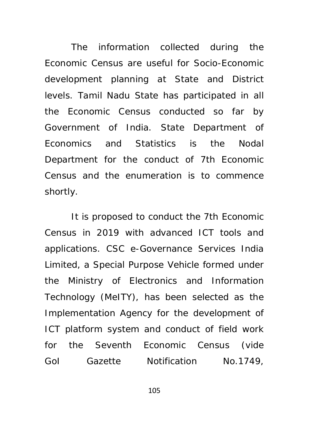The information collected during the Economic Census are useful for Socio-Economic development planning at State and District levels. Tamil Nadu State has participated in all the Economic Census conducted so far by Government of India. State Department of Economics and Statistics is the Nodal Department for the conduct of 7th Economic Census and the enumeration is to commence shortly.

It is proposed to conduct the 7th Economic Census in 2019 with advanced ICT tools and applications. CSC e-Governance Services India Limited, a Special Purpose Vehicle formed under the Ministry of Electronics and Information Technology (MeITY), has been selected as the Implementation Agency for the development of ICT platform system and conduct of field work for the Seventh Economic Census (vide GoI Gazette Notification No.1749,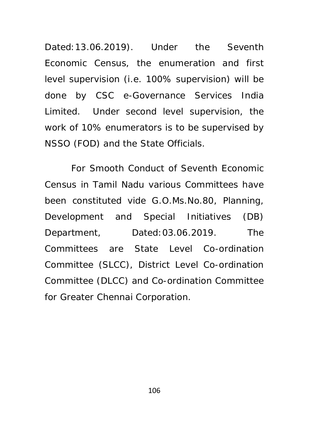Dated:13.06.2019). Under the Seventh Economic Census, the enumeration and first level supervision (i.e. 100% supervision) will be done by CSC e-Governance Services India Limited. Under second level supervision, the work of 10% enumerators is to be supervised by NSSO (FOD) and the State Officials.

For Smooth Conduct of Seventh Economic Census in Tamil Nadu various Committees have been constituted vide G.O.Ms.No.80, Planning, Development and Special Initiatives (DB) Department, Dated:03.06.2019. The Committees are State Level Co-ordination Committee (SLCC), District Level Co-ordination Committee (DLCC) and Co-ordination Committee for Greater Chennai Corporation.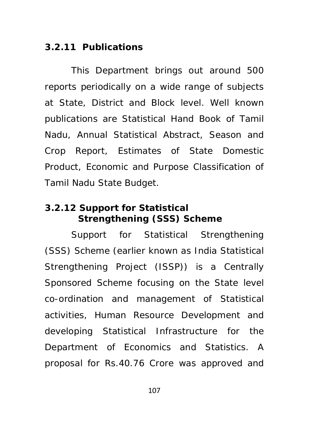#### **3.2.11 Publications**

This Department brings out around 500 reports periodically on a wide range of subjects at State, District and Block level. Well known publications are Statistical Hand Book of Tamil Nadu, Annual Statistical Abstract, Season and Crop Report, Estimates of State Domestic Product, Economic and Purpose Classification of Tamil Nadu State Budget.

## **3.2.12 Support for Statistical Strengthening (SSS) Scheme**

Support for Statistical Strengthening (SSS) Scheme (earlier known as India Statistical Strengthening Project (ISSP)) is a Centrally Sponsored Scheme focusing on the State level co-ordination and management of Statistical activities, Human Resource Development and developing Statistical Infrastructure for the Department of Economics and Statistics. A proposal for Rs.40.76 Crore was approved and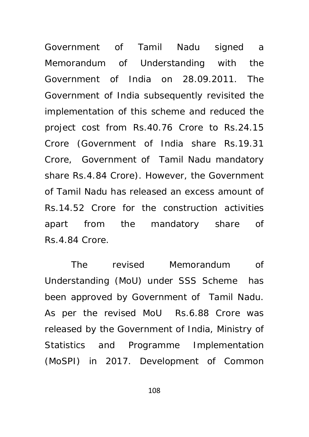Government of Tamil Nadu signed a Memorandum of Understanding with the Government of India on 28.09.2011. The Government of India subsequently revisited the implementation of this scheme and reduced the project cost from Rs.40.76 Crore to Rs.24.15 Crore (Government of India share Rs.19.31 Crore, Government of Tamil Nadu mandatory share Rs.4.84 Crore). However, the Government of Tamil Nadu has released an excess amount of Rs.14.52 Crore for the construction activities apart from the mandatory share of Rs.4.84 Crore.

The revised Memorandum of Understanding (MoU) under SSS Scheme has been approved by Government of Tamil Nadu. As per the revised MoU Rs.6.88 Crore was released by the Government of India, Ministry of Statistics and Programme Implementation (MoSPI) in 2017. Development of Common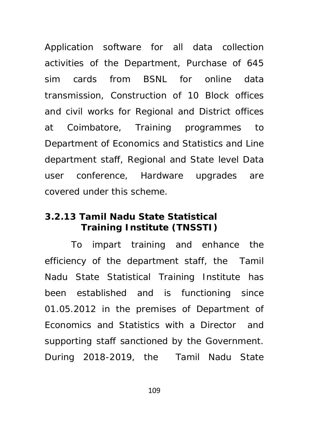Application software for all data collection activities of the Department, Purchase of 645 sim cards from BSNL for online data transmission, Construction of 10 Block offices and civil works for Regional and District offices at Coimbatore, Training programmes to Department of Economics and Statistics and Line department staff, Regional and State level Data user conference, Hardware upgrades are covered under this scheme.

## **3.2.13 Tamil Nadu State Statistical Training Institute (TNSSTI)**

To impart training and enhance the efficiency of the department staff, the Tamil Nadu State Statistical Training Institute has been established and is functioning since 01.05.2012 in the premises of Department of Economics and Statistics with a Director and supporting staff sanctioned by the Government. During 2018-2019, the Tamil Nadu State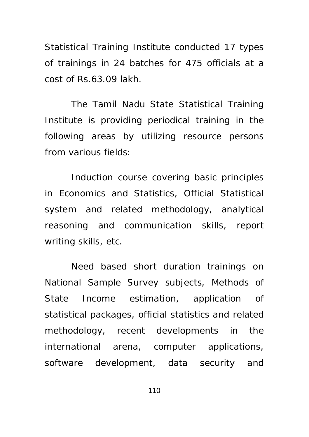Statistical Training Institute conducted 17 types of trainings in 24 batches for 475 officials at a cost of Rs.63.09 lakh.

The Tamil Nadu State Statistical Training Institute is providing periodical training in the following areas by utilizing resource persons from various fields:

Induction course covering basic principles in Economics and Statistics, Official Statistical system and related methodology, analytical reasoning and communication skills, report writing skills, etc.

Need based short duration trainings on National Sample Survey subjects, Methods of State Income estimation, application of statistical packages, official statistics and related methodology, recent developments in the international arena, computer applications, software development, data security and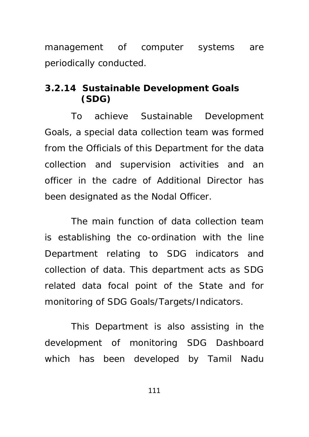management of computer systems are periodically conducted.

# **3.2.14 Sustainable Development Goals (SDG)**

To achieve Sustainable Development Goals, a special data collection team was formed from the Officials of this Department for the data collection and supervision activities and an officer in the cadre of Additional Director has been designated as the Nodal Officer.

The main function of data collection team is establishing the co-ordination with the line Department relating to SDG indicators and collection of data. This department acts as SDG related data focal point of the State and for monitoring of SDG Goals/Targets/Indicators.

This Department is also assisting in the development of monitoring SDG Dashboard which has been developed by Tamil Nadu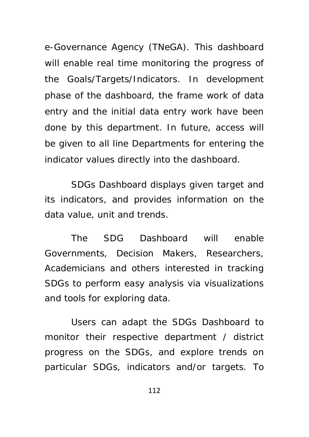e-Governance Agency (TNeGA). This dashboard will enable real time monitoring the progress of the Goals/Targets/Indicators. In development phase of the dashboard, the frame work of data entry and the initial data entry work have been done by this department. In future, access will be given to all line Departments for entering the indicator values directly into the dashboard.

SDGs Dashboard displays given target and its indicators, and provides information on the data value, unit and trends.

The SDG Dashboard will enable Governments, Decision Makers, Researchers, Academicians and others interested in tracking SDGs to perform easy analysis via visualizations and tools for exploring data.

Users can adapt the SDGs Dashboard to monitor their respective department / district progress on the SDGs, and explore trends on particular SDGs, indicators and/or targets. To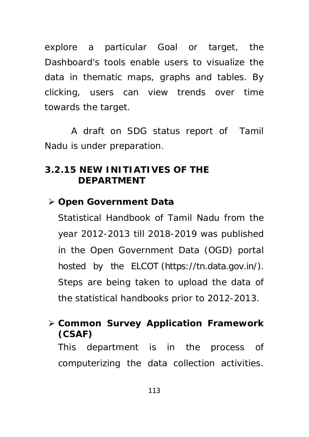explore a particular Goal or target, the Dashboard's tools enable users to visualize the data in thematic maps, graphs and tables. By clicking, users can view trends over time towards the target.

A draft on SDG status report of Tamil Nadu is under preparation.

### **3.2.15 NEW INITIATIVES OF THE DEPARTMENT**

### **Open Government Data**

Statistical Handbook of Tamil Nadu from the year 2012-2013 till 2018-2019 was published in the Open Government Data (OGD) portal hosted by the ELCOT (https://tn.data.gov.in/). Steps are being taken to upload the data of the statistical handbooks prior to 2012-2013.

## **Common Survey Application Framework (CSAF)**

This department is in the process of computerizing the data collection activities.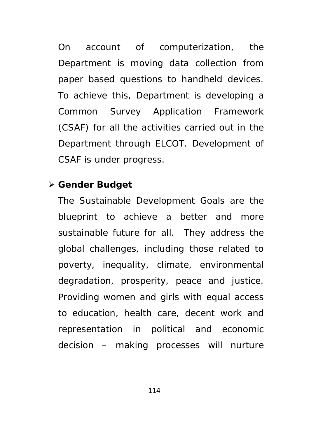On account of computerization, the Department is moving data collection from paper based questions to handheld devices. To achieve this, Department is developing a Common Survey Application Framework (CSAF) for all the activities carried out in the Department through ELCOT. Development of CSAF is under progress.

### **Gender Budget**

The Sustainable Development Goals are the blueprint to achieve a better and more sustainable future for all. They address the global challenges, including those related to poverty, inequality, climate, environmental degradation, prosperity, peace and justice. Providing women and girls with equal access to education, health care, decent work and representation in political and economic decision – making processes will nurture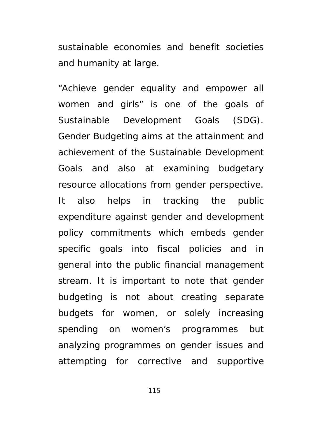sustainable economies and benefit societies and humanity at large.

"Achieve gender equality and empower all women and girls" is one of the goals of Sustainable Development Goals (SDG). Gender Budgeting aims at the attainment and achievement of the Sustainable Development Goals and also at examining budgetary resource allocations from gender perspective. It also helps in tracking the public expenditure against gender and development policy commitments which embeds gender specific goals into fiscal policies and in general into the public financial management stream. It is important to note that gender budgeting is not about creating separate budgets for women, or solely increasing spending on women's programmes but analyzing programmes on gender issues and attempting for corrective and supportive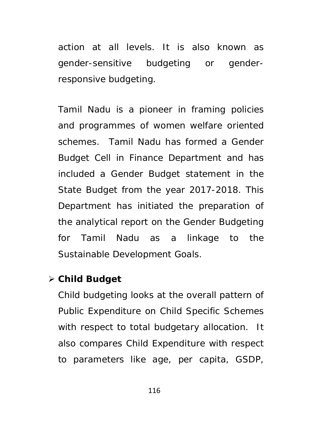action at all levels. It is also known as gender-sensitive budgeting or genderresponsive budgeting.

Tamil Nadu is a pioneer in framing policies and programmes of women welfare oriented schemes. Tamil Nadu has formed a Gender Budget Cell in Finance Department and has included a Gender Budget statement in the State Budget from the year 2017-2018. This Department has initiated the preparation of the analytical report on the Gender Budgeting for Tamil Nadu as a linkage to the Sustainable Development Goals.

### **Child Budget**

Child budgeting looks at the overall pattern of Public Expenditure on Child Specific Schemes with respect to total budgetary allocation. It also compares Child Expenditure with respect to parameters like age, per capita, GSDP,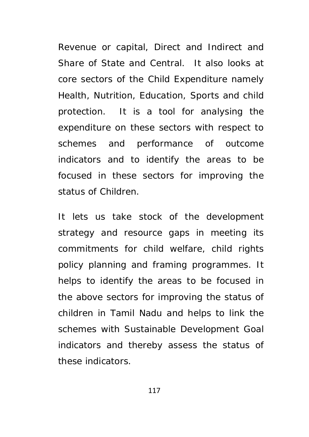Revenue or capital, Direct and Indirect and Share of State and Central. It also looks at core sectors of the Child Expenditure namely Health, Nutrition, Education, Sports and child protection. It is a tool for analysing the expenditure on these sectors with respect to schemes and performance of outcome indicators and to identify the areas to be focused in these sectors for improving the status of Children.

It lets us take stock of the development strategy and resource gaps in meeting its commitments for child welfare, child rights policy planning and framing programmes. It helps to identify the areas to be focused in the above sectors for improving the status of children in Tamil Nadu and helps to link the schemes with Sustainable Development Goal indicators and thereby assess the status of these indicators.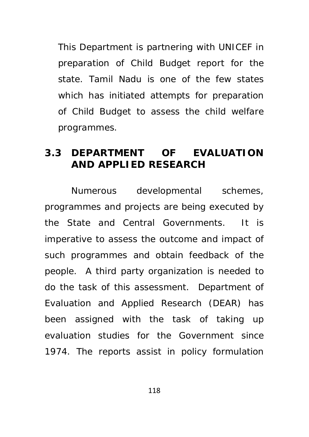This Department is partnering with UNICEF in preparation of Child Budget report for the state. Tamil Nadu is one of the few states which has initiated attempts for preparation of Child Budget to assess the child welfare programmes.

## **3.3 DEPARTMENT OF EVALUATION AND APPLIED RESEARCH**

Numerous developmental schemes, programmes and projects are being executed by the State and Central Governments. It is imperative to assess the outcome and impact of such programmes and obtain feedback of the people. A third party organization is needed to do the task of this assessment. Department of Evaluation and Applied Research (DEAR) has been assigned with the task of taking up evaluation studies for the Government since 1974. The reports assist in policy formulation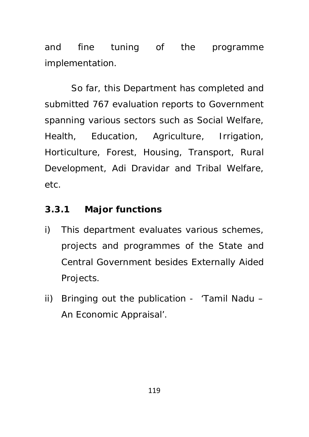and fine tuning of the programme implementation.

So far, this Department has completed and submitted 767 evaluation reports to Government spanning various sectors such as Social Welfare, Health, Education, Agriculture, Irrigation, Horticulture, Forest, Housing, Transport, Rural Development, Adi Dravidar and Tribal Welfare, etc.

## **3.3.1 Major functions**

- i) This department evaluates various schemes, projects and programmes of the State and Central Government besides Externally Aided Projects.
- ii) Bringing out the publication 'Tamil Nadu An Economic Appraisal'.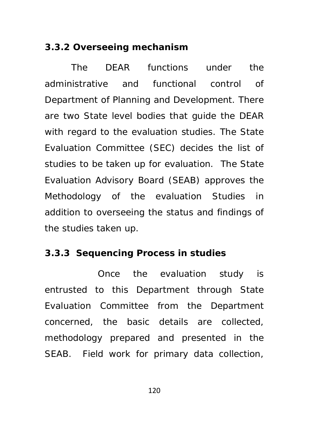#### **3.3.2 Overseeing mechanism**

The DEAR functions under the administrative and functional control of Department of Planning and Development. There are two State level bodies that guide the DEAR with regard to the evaluation studies. The State Evaluation Committee (SEC) decides the list of studies to be taken up for evaluation. The State Evaluation Advisory Board (SEAB) approves the Methodology of the evaluation Studies in addition to overseeing the status and findings of the studies taken up.

### **3.3.3 Sequencing Process in studies**

 Once the evaluation study is entrusted to this Department through State Evaluation Committee from the Department concerned, the basic details are collected, methodology prepared and presented in the SEAB. Field work for primary data collection,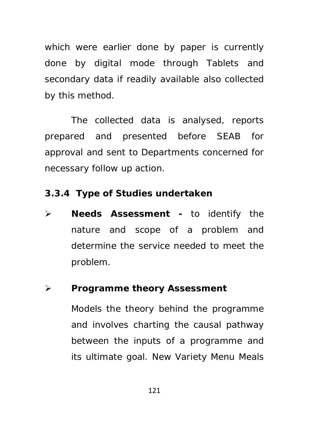which were earlier done by paper is currently done by digital mode through Tablets and secondary data if readily available also collected by this method.

The collected data is analysed, reports prepared and presented before SEAB for approval and sent to Departments concerned for necessary follow up action.

### **3.3.4 Type of Studies undertaken**

 **Needs Assessment -** to identify the nature and scope of a problem and determine the service needed to meet the problem.

## **Programme theory Assessment**

Models the theory behind the programme and involves charting the causal pathway between the inputs of a programme and its ultimate goal. New Variety Menu Meals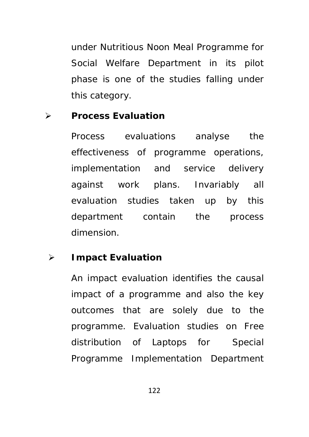under Nutritious Noon Meal Programme for Social Welfare Department in its pilot phase is one of the studies falling under this category.

#### **Process Evaluation**

Process evaluations analyse the effectiveness of programme operations, implementation and service delivery against work plans. Invariably all evaluation studies taken up by this department contain the process dimension.

### **Impact Evaluation**

An impact evaluation identifies the causal impact of a programme and also the key outcomes that are solely due to the programme. Evaluation studies on Free distribution of Laptops for Special Programme Implementation Department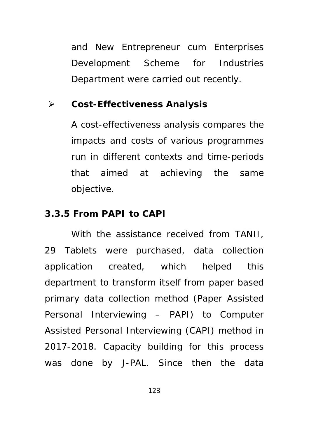and New Entrepreneur cum Enterprises Development Scheme for Industries Department were carried out recently.

#### **Cost-Effectiveness Analysis**

A cost-effectiveness analysis compares the impacts and costs of various programmes run in different contexts and time-periods that aimed at achieving the same objective.

### **3.3.5 From PAPI to CAPI**

With the assistance received from TANII, 29 Tablets were purchased, data collection application created, which helped this department to transform itself from paper based primary data collection method (Paper Assisted Personal Interviewing – PAPI) to Computer Assisted Personal Interviewing (CAPI) method in 2017-2018. Capacity building for this process was done by J-PAL. Since then the data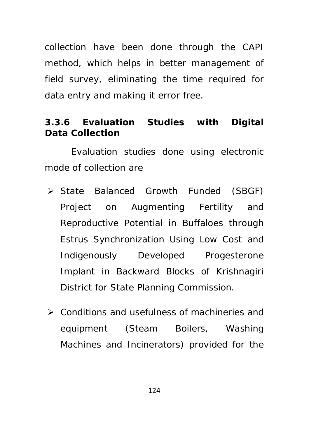collection have been done through the CAPI method, which helps in better management of field survey, eliminating the time required for data entry and making it error free.

## **3.3.6 Evaluation Studies with Digital Data Collection**

Evaluation studies done using electronic mode of collection are

- State Balanced Growth Funded (SBGF) Project on Augmenting Fertility and Reproductive Potential in Buffaloes through Estrus Synchronization Using Low Cost and Indigenously Developed Progesterone Implant in Backward Blocks of Krishnagiri District for State Planning Commission.
- Conditions and usefulness of machineries and equipment (Steam Boilers, Washing Machines and Incinerators) provided for the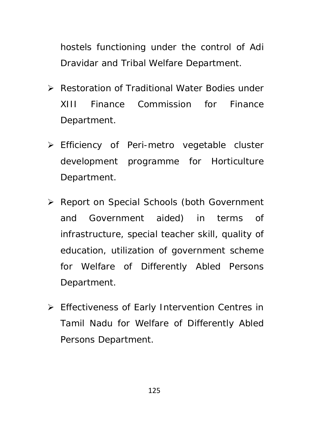hostels functioning under the control of Adi Dravidar and Tribal Welfare Department.

- Restoration of Traditional Water Bodies under XIII Finance Commission for Finance Department.
- Efficiency of Peri-metro vegetable cluster development programme for Horticulture Department.
- ▶ Report on Special Schools (both Government and Government aided) in terms of infrastructure, special teacher skill, quality of education, utilization of government scheme for Welfare of Differently Abled Persons Department.
- Effectiveness of Early Intervention Centres in Tamil Nadu for Welfare of Differently Abled Persons Department.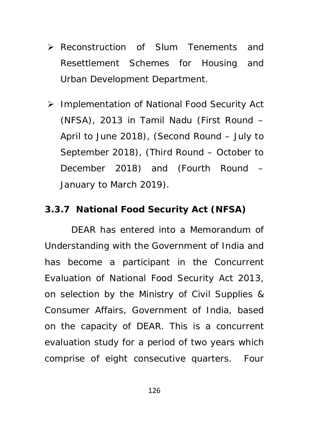- Reconstruction of Slum Tenements and Resettlement Schemes for Housing and Urban Development Department.
- Implementation of National Food Security Act (NFSA), 2013 in Tamil Nadu (First Round – April to June 2018), (Second Round – July to September 2018), (Third Round – October to December 2018) and (Fourth Round – January to March 2019).

### **3.3.7 National Food Security Act (NFSA)**

DEAR has entered into a Memorandum of Understanding with the Government of India and has become a participant in the Concurrent Evaluation of National Food Security Act 2013, on selection by the Ministry of Civil Supplies & Consumer Affairs, Government of India, based on the capacity of DEAR. This is a concurrent evaluation study for a period of two years which comprise of eight consecutive quarters. Four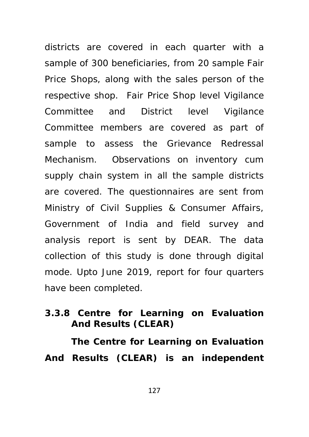districts are covered in each quarter with a sample of 300 beneficiaries, from 20 sample Fair Price Shops, along with the sales person of the respective shop. Fair Price Shop level Vigilance Committee and District level Vigilance Committee members are covered as part of sample to assess the Grievance Redressal Mechanism. Observations on inventory cum supply chain system in all the sample districts are covered. The questionnaires are sent from Ministry of Civil Supplies & Consumer Affairs, Government of India and field survey and analysis report is sent by DEAR. The data collection of this study is done through digital mode. Upto June 2019, report for four quarters have been completed.

## **3.3.8 Centre for Learning on Evaluation And Results (CLEAR)**

 **The Centre for Learning on Evaluation And Results (CLEAR) is an independent**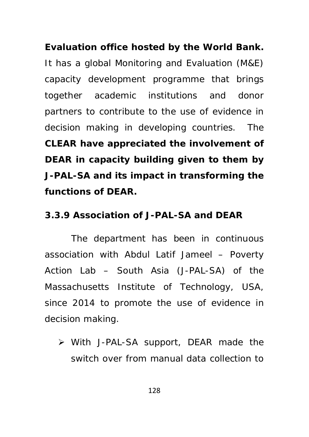**Evaluation office hosted by the World Bank.** It has a global Monitoring and Evaluation (M&E) capacity development programme that brings together academic institutions and donor partners to contribute to the use of evidence in decision making in developing countries. The **CLEAR have appreciated the involvement of DEAR in capacity building given to them by J-PAL-SA and its impact in transforming the functions of DEAR.** 

## **3.3.9 Association of J-PAL-SA and DEAR**

The department has been in continuous association with Abdul Latif Jameel – Poverty Action Lab – South Asia (J-PAL-SA) of the Massachusetts Institute of Technology, USA, since 2014 to promote the use of evidence in decision making.

 With J-PAL-SA support, DEAR made the switch over from manual data collection to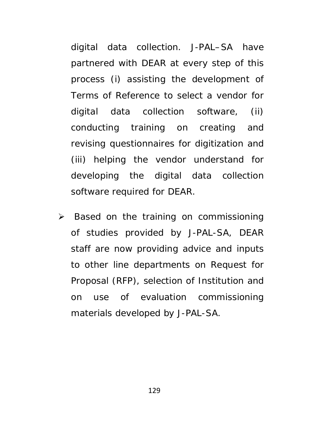digital data collection. J-PAL–SA have partnered with DEAR at every step of this process (i) assisting the development of Terms of Reference to select a vendor for digital data collection software, (ii) conducting training on creating and revising questionnaires for digitization and (iii) helping the vendor understand for developing the digital data collection software required for DEAR.

 $\triangleright$  Based on the training on commissioning of studies provided by J-PAL-SA, DEAR staff are now providing advice and inputs to other line departments on Request for Proposal (RFP), selection of Institution and on use of evaluation commissioning materials developed by J-PAL-SA.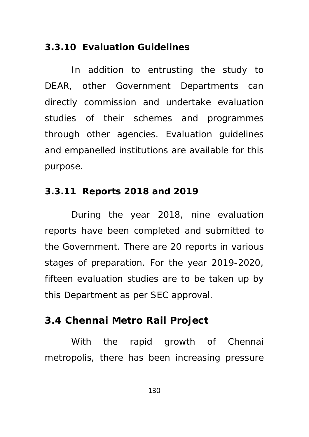#### **3.3.10 Evaluation Guidelines**

In addition to entrusting the study to DEAR, other Government Departments can directly commission and undertake evaluation studies of their schemes and programmes through other agencies. Evaluation guidelines and empanelled institutions are available for this purpose.

### **3.3.11 Reports 2018 and 2019**

During the year 2018, nine evaluation reports have been completed and submitted to the Government. There are 20 reports in various stages of preparation. For the year 2019-2020, fifteen evaluation studies are to be taken up by this Department as per SEC approval.

## **3.4 Chennai Metro Rail Project**

With the rapid growth of Chennai metropolis, there has been increasing pressure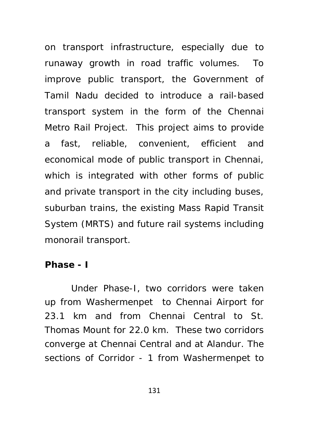on transport infrastructure, especially due to runaway growth in road traffic volumes. To improve public transport, the Government of Tamil Nadu decided to introduce a rail-based transport system in the form of the Chennai Metro Rail Project. This project aims to provide a fast, reliable, convenient, efficient and economical mode of public transport in Chennai, which is integrated with other forms of public and private transport in the city including buses, suburban trains, the existing Mass Rapid Transit System (MRTS) and future rail systems including monorail transport.

#### **Phase - I**

Under Phase-I, two corridors were taken up from Washermenpet to Chennai Airport for 23.1 km and from Chennai Central to St. Thomas Mount for 22.0 km. These two corridors converge at Chennai Central and at Alandur. The sections of Corridor - 1 from Washermenpet to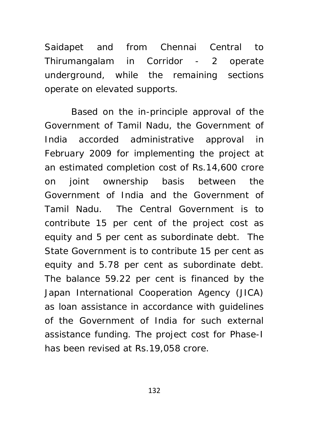Saidapet and from Chennai Central to Thirumangalam in Corridor - 2 operate underground, while the remaining sections operate on elevated supports.

Based on the in-principle approval of the Government of Tamil Nadu, the Government of India accorded administrative approval in February 2009 for implementing the project at an estimated completion cost of Rs.14,600 crore on joint ownership basis between the Government of India and the Government of Tamil Nadu. The Central Government is to contribute 15 per cent of the project cost as equity and 5 per cent as subordinate debt. The State Government is to contribute 15 per cent as equity and 5.78 per cent as subordinate debt. The balance 59.22 per cent is financed by the Japan International Cooperation Agency (JICA) as loan assistance in accordance with guidelines of the Government of India for such external assistance funding. The project cost for Phase-I has been revised at Rs.19,058 crore.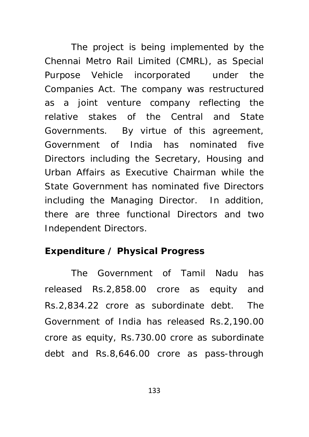The project is being implemented by the Chennai Metro Rail Limited (CMRL), as Special Purpose Vehicle incorporated under the Companies Act. The company was restructured as a joint venture company reflecting the relative stakes of the Central and State Governments. By virtue of this agreement, Government of India has nominated five Directors including the Secretary, Housing and Urban Affairs as Executive Chairman while the State Government has nominated five Directors including the Managing Director. In addition, there are three functional Directors and two Independent Directors.

### **Expenditure / Physical Progress**

The Government of Tamil Nadu has released Rs.2,858.00 crore as equity and Rs.2,834.22 crore as subordinate debt. The Government of India has released Rs.2,190.00 crore as equity, Rs.730.00 crore as subordinate debt and Rs.8,646.00 crore as pass-through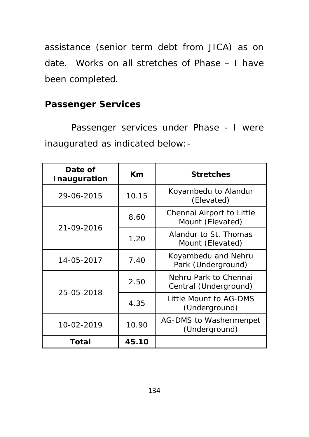assistance (senior term debt from JICA) as on date. Works on all stretches of Phase – I have been completed.

## **Passenger Services**

Passenger services under Phase - I were inaugurated as indicated below:-

| Date of<br>Inauguration | Km    | <b>Stretches</b>                               |  |
|-------------------------|-------|------------------------------------------------|--|
| 29-06-2015              | 10.15 | Koyambedu to Alandur<br>(Elevated)             |  |
| 21-09-2016              | 8.60  | Chennai Airport to Little<br>Mount (Elevated)  |  |
|                         | 1.20  | Alandur to St. Thomas<br>Mount (Elevated)      |  |
| 14-05-2017              | 7.40  | Koyambedu and Nehru<br>Park (Underground)      |  |
| 25-05-2018              | 2.50  | Nehru Park to Chennai<br>Central (Underground) |  |
|                         | 4.35  | Little Mount to AG-DMS<br>(Underground)        |  |
| 10-02-2019              | 10.90 | AG-DMS to Washermenpet<br>(Underground)        |  |
| Total                   | 45.10 |                                                |  |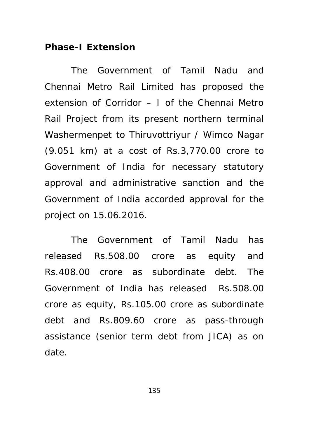#### **Phase-I Extension**

The Government of Tamil Nadu and Chennai Metro Rail Limited has proposed the extension of Corridor – I of the Chennai Metro Rail Project from its present northern terminal Washermenpet to Thiruvottriyur / Wimco Nagar (9.051 km) at a cost of Rs.3,770.00 crore to Government of India for necessary statutory approval and administrative sanction and the Government of India accorded approval for the project on 15.06.2016.

The Government of Tamil Nadu has released Rs.508.00 crore as equity and Rs.408.00 crore as subordinate debt. The Government of India has released Rs.508.00 crore as equity, Rs.105.00 crore as subordinate debt and Rs.809.60 crore as pass-through assistance (senior term debt from JICA) as on date.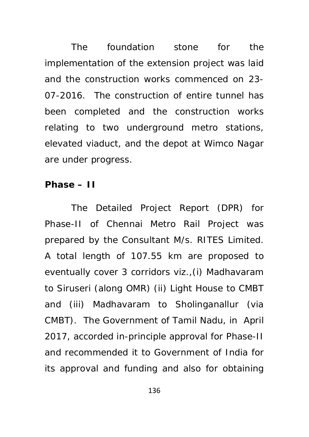The foundation stone for the implementation of the extension project was laid and the construction works commenced on 23- 07-2016. The construction of entire tunnel has been completed and the construction works relating to two underground metro stations, elevated viaduct, and the depot at Wimco Nagar are under progress.

#### **Phase – II**

The Detailed Project Report (DPR) for Phase-II of Chennai Metro Rail Project was prepared by the Consultant M/s. RITES Limited. A total length of 107.55 km are proposed to eventually cover 3 corridors viz.,(i) Madhavaram to Siruseri (along OMR) (ii) Light House to CMBT and (iii) Madhavaram to Sholinganallur (via CMBT). The Government of Tamil Nadu, in April 2017, accorded in-principle approval for Phase-II and recommended it to Government of India for its approval and funding and also for obtaining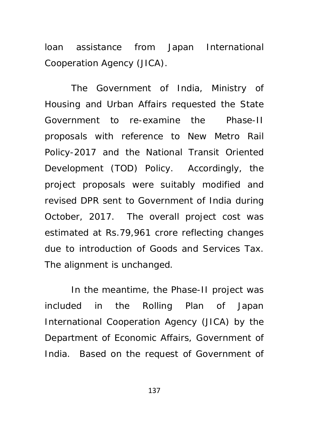loan assistance from Japan International Cooperation Agency (JICA).

The Government of India, Ministry of Housing and Urban Affairs requested the State Government to re-examine the Phase-II proposals with reference to New Metro Rail Policy-2017 and the National Transit Oriented Development (TOD) Policy. Accordingly, the project proposals were suitably modified and revised DPR sent to Government of India during October, 2017. The overall project cost was estimated at Rs.79,961 crore reflecting changes due to introduction of Goods and Services Tax. The alignment is unchanged.

In the meantime, the Phase-II project was included in the Rolling Plan of Japan International Cooperation Agency (JICA) by the Department of Economic Affairs, Government of India. Based on the request of Government of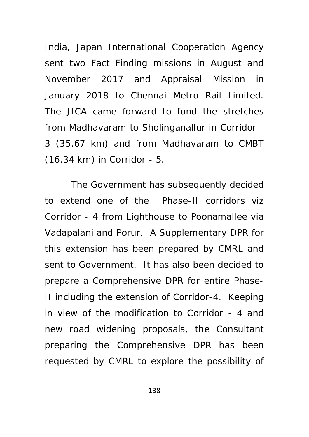India, Japan International Cooperation Agency sent two Fact Finding missions in August and November 2017 and Appraisal Mission in January 2018 to Chennai Metro Rail Limited. The JICA came forward to fund the stretches from Madhavaram to Sholinganallur in Corridor - 3 (35.67 km) and from Madhavaram to CMBT (16.34 km) in Corridor - 5.

The Government has subsequently decided to extend one of the Phase-II corridors viz Corridor - 4 from Lighthouse to Poonamallee via Vadapalani and Porur. A Supplementary DPR for this extension has been prepared by CMRL and sent to Government. It has also been decided to prepare a Comprehensive DPR for entire Phase-II including the extension of Corridor-4. Keeping in view of the modification to Corridor - 4 and new road widening proposals, the Consultant preparing the Comprehensive DPR has been requested by CMRL to explore the possibility of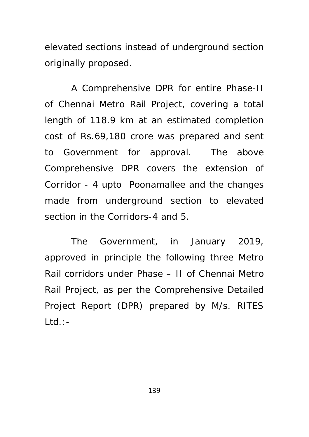elevated sections instead of underground section originally proposed.

A Comprehensive DPR for entire Phase-II of Chennai Metro Rail Project, covering a total length of 118.9 km at an estimated completion cost of Rs.69,180 crore was prepared and sent to Government for approval. The above Comprehensive DPR covers the extension of Corridor - 4 upto Poonamallee and the changes made from underground section to elevated section in the Corridors-4 and 5.

The Government, in January 2019, approved in principle the following three Metro Rail corridors under Phase – II of Chennai Metro Rail Project, as per the Comprehensive Detailed Project Report (DPR) prepared by M/s. RITES  $Ltd.:$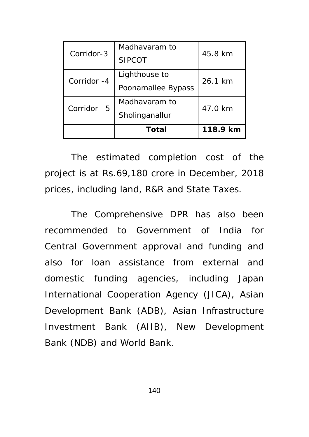| Corridor-3  | Madhayaram to      | 45.8 km  |  |
|-------------|--------------------|----------|--|
|             | <b>SIPCOT</b>      |          |  |
| Corridor -4 | Lighthouse to      | 26.1 km  |  |
|             | Poonamallee Bypass | 47.0 km  |  |
| Corridor-5  | Madhayaram to      |          |  |
|             | Sholinganallur     |          |  |
|             | Total              | 118.9 km |  |

The estimated completion cost of the project is at Rs.69,180 crore in December, 2018 prices, including land, R&R and State Taxes.

The Comprehensive DPR has also been recommended to Government of India for Central Government approval and funding and also for loan assistance from external and domestic funding agencies, including Japan International Cooperation Agency (JICA), Asian Development Bank (ADB), Asian Infrastructure Investment Bank (AIIB), New Development Bank (NDB) and World Bank.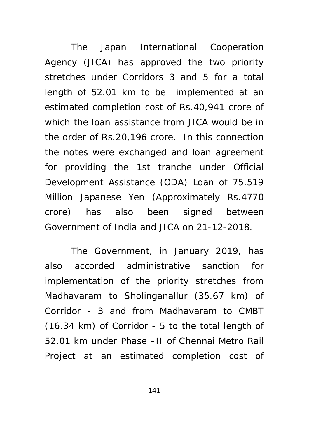The Japan International Cooperation Agency (JICA) has approved the two priority stretches under Corridors 3 and 5 for a total length of 52.01 km to be implemented at an estimated completion cost of Rs.40,941 crore of which the loan assistance from JICA would be in the order of Rs.20,196 crore. In this connection the notes were exchanged and loan agreement for providing the 1st tranche under Official Development Assistance (ODA) Loan of 75,519 Million Japanese Yen (Approximately Rs.4770 crore) has also been signed between Government of India and JICA on 21-12-2018.

The Government, in January 2019, has also accorded administrative sanction for implementation of the priority stretches from Madhavaram to Sholinganallur (35.67 km) of Corridor - 3 and from Madhavaram to CMBT (16.34 km) of Corridor - 5 to the total length of 52.01 km under Phase –II of Chennai Metro Rail Project at an estimated completion cost of

141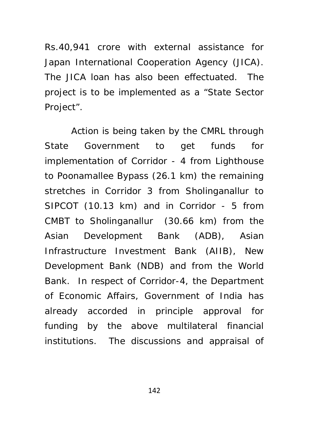Rs.40,941 crore with external assistance for Japan International Cooperation Agency (JICA). The JICA loan has also been effectuated. The project is to be implemented as a "State Sector Project".

Action is being taken by the CMRL through State Government to get funds for implementation of Corridor - 4 from Lighthouse to Poonamallee Bypass (26.1 km) the remaining stretches in Corridor 3 from Sholinganallur to SIPCOT (10.13 km) and in Corridor - 5 from CMBT to Sholinganallur (30.66 km) from the Asian Development Bank (ADB), Asian Infrastructure Investment Bank (AIIB), New Development Bank (NDB) and from the World Bank. In respect of Corridor-4, the Department of Economic Affairs, Government of India has already accorded in principle approval for funding by the above multilateral financial institutions. The discussions and appraisal of

142